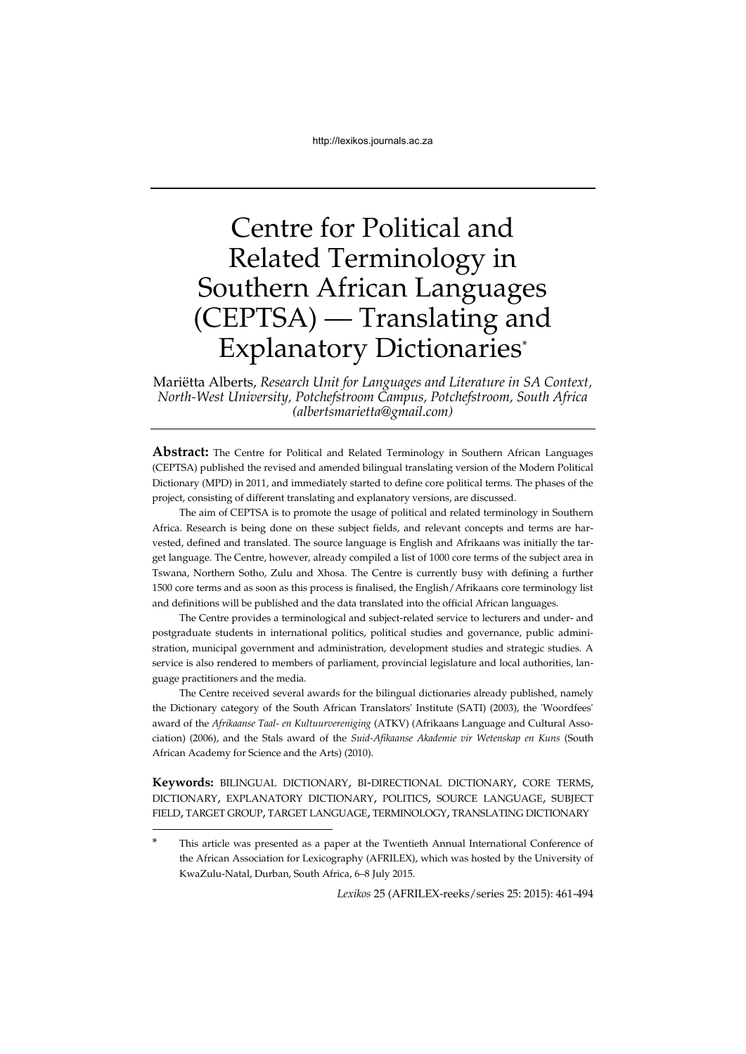# Centre for Political and Related Terminology in Southern African Languages (CEPTSA) — Translating and Explanatory Dictionaries\*

Mariëtta Alberts, *Research Unit for Languages and Literature in SA Context, North-West University, Potchefstroom Campus, Potchefstroom, South Africa (albertsmarietta@gmail.com)*

**Abstract:** The Centre for Political and Related Terminology in Southern African Languages (CEPTSA) published the revised and amended bilingual translating version of the Modern Political Dictionary (MPD) in 2011, and immediately started to define core political terms. The phases of the project, consisting of different translating and explanatory versions, are discussed.

The aim of CEPTSA is to promote the usage of political and related terminology in Southern Africa. Research is being done on these subject fields, and relevant concepts and terms are harvested, defined and translated. The source language is English and Afrikaans was initially the target language. The Centre, however, already compiled a list of 1000 core terms of the subject area in Tswana, Northern Sotho, Zulu and Xhosa. The Centre is currently busy with defining a further 1500 core terms and as soon as this process is finalised, the English/Afrikaans core terminology list and definitions will be published and the data translated into the official African languages.

The Centre provides a terminological and subject-related service to lecturers and under- and postgraduate students in international politics, political studies and governance, public administration, municipal government and administration, development studies and strategic studies. A service is also rendered to members of parliament, provincial legislature and local authorities, language practitioners and the media.

The Centre received several awards for the bilingual dictionaries already published, namely the Dictionary category of the South African Translators' Institute (SATI) (2003), the 'Woordfees' award of the *Afrikaanse Taal- en Kultuurvereniging* (ATKV) (Afrikaans Language and Cultural Association) (2006), and the Stals award of the *Suid-Afikaanse Akademie vir Wetenskap en Kuns* (South African Academy for Science and the Arts) (2010).

**Keywords:** BILINGUAL DICTIONARY, BI-DIRECTIONAL DICTIONARY, CORE TERMS, DICTIONARY, EXPLANATORY DICTIONARY, POLITICS, SOURCE LANGUAGE, SUBJECT FIELD, TARGET GROUP, TARGET LANGUAGE, TERMINOLOGY, TRANSLATING DICTIONARY

1

*Lexikos* 25 (AFRILEX-reeks/series 25: 2015): 461-494

This article was presented as a paper at the Twentieth Annual International Conference of the African Association for Lexicography (AFRILEX), which was hosted by the University of KwaZulu-Natal, Durban, South Africa, 6–8 July 2015.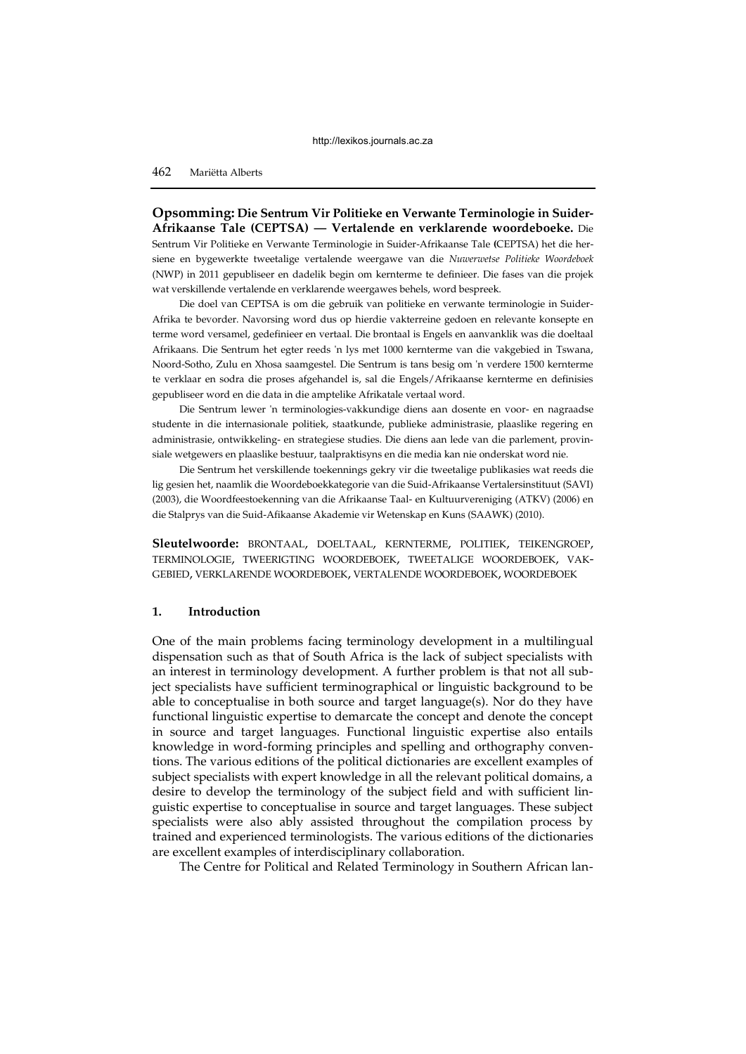**Opsomming: Die Sentrum Vir Politieke en Verwante Terminologie in Suider-Afrikaanse Tale (CEPTSA) — Vertalende en verklarende woordeboeke.** Die Sentrum Vir Politieke en Verwante Terminologie in Suider-Afrikaanse Tale **(**CEPTSA) het die hersiene en bygewerkte tweetalige vertalende weergawe van die *Nuwerwetse Politieke Woordeboek* (NWP) in 2011 gepubliseer en dadelik begin om kernterme te definieer. Die fases van die projek wat verskillende vertalende en verklarende weergawes behels, word bespreek.

Die doel van CEPTSA is om die gebruik van politieke en verwante terminologie in Suider-Afrika te bevorder. Navorsing word dus op hierdie vakterreine gedoen en relevante konsepte en terme word versamel, gedefinieer en vertaal. Die brontaal is Engels en aanvanklik was die doeltaal Afrikaans. Die Sentrum het egter reeds 'n lys met 1000 kernterme van die vakgebied in Tswana, Noord-Sotho, Zulu en Xhosa saamgestel. Die Sentrum is tans besig om 'n verdere 1500 kernterme te verklaar en sodra die proses afgehandel is, sal die Engels/Afrikaanse kernterme en definisies gepubliseer word en die data in die amptelike Afrikatale vertaal word.

Die Sentrum lewer 'n terminologies-vakkundige diens aan dosente en voor- en nagraadse studente in die internasionale politiek, staatkunde, publieke administrasie, plaaslike regering en administrasie, ontwikkeling- en strategiese studies. Die diens aan lede van die parlement, provinsiale wetgewers en plaaslike bestuur, taalpraktisyns en die media kan nie onderskat word nie.

Die Sentrum het verskillende toekennings gekry vir die tweetalige publikasies wat reeds die lig gesien het, naamlik die Woordeboekkategorie van die Suid-Afrikaanse Vertalersinstituut (SAVI) (2003), die Woordfeestoekenning van die Afrikaanse Taal- en Kultuurvereniging (ATKV) (2006) en die Stalprys van die Suid-Afikaanse Akademie vir Wetenskap en Kuns (SAAWK) (2010).

**Sleutelwoorde:** BRONTAAL, DOELTAAL, KERNTERME, POLITIEK, TEIKENGROEP, TERMINOLOGIE, TWEERIGTING WOORDEBOEK, TWEETALIGE WOORDEBOEK, VAK-GEBIED, VERKLARENDE WOORDEBOEK, VERTALENDE WOORDEBOEK, WOORDEBOEK

# **1. Introduction**

One of the main problems facing terminology development in a multilingual dispensation such as that of South Africa is the lack of subject specialists with an interest in terminology development. A further problem is that not all subject specialists have sufficient terminographical or linguistic background to be able to conceptualise in both source and target language(s). Nor do they have functional linguistic expertise to demarcate the concept and denote the concept in source and target languages. Functional linguistic expertise also entails knowledge in word-forming principles and spelling and orthography conventions. The various editions of the political dictionaries are excellent examples of subject specialists with expert knowledge in all the relevant political domains, a desire to develop the terminology of the subject field and with sufficient linguistic expertise to conceptualise in source and target languages. These subject specialists were also ably assisted throughout the compilation process by trained and experienced terminologists. The various editions of the dictionaries are excellent examples of interdisciplinary collaboration.

The Centre for Political and Related Terminology in Southern African lan-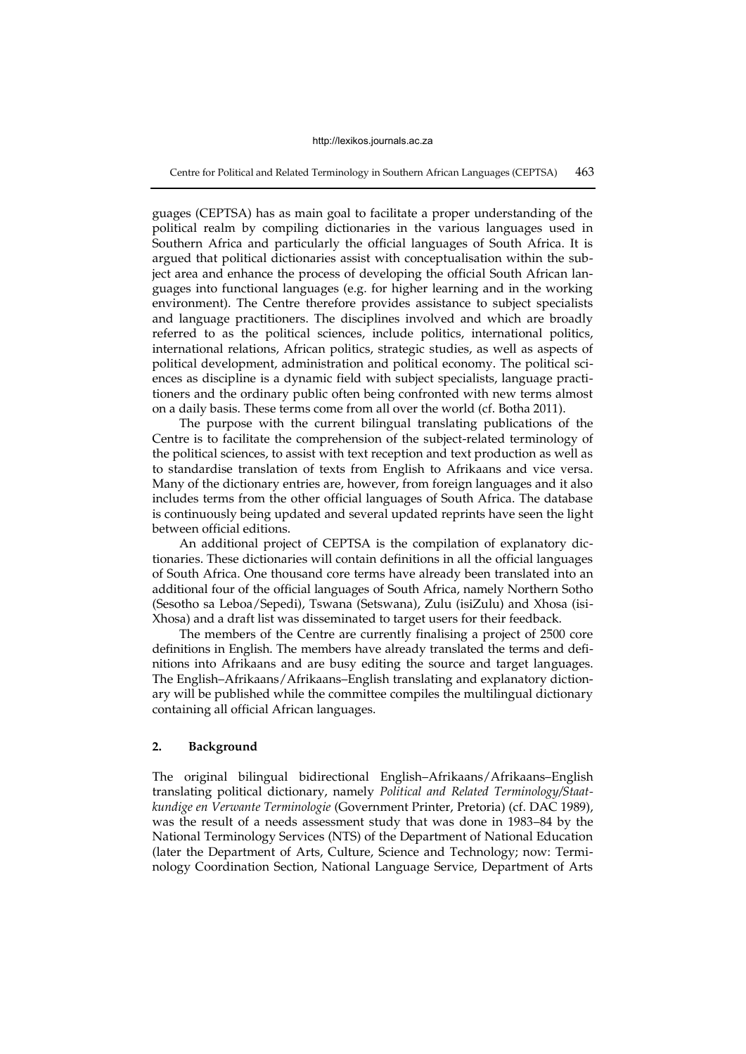Centre for Political and Related Terminology in Southern African Languages (CEPTSA) 463

guages (CEPTSA) has as main goal to facilitate a proper understanding of the political realm by compiling dictionaries in the various languages used in Southern Africa and particularly the official languages of South Africa. It is argued that political dictionaries assist with conceptualisation within the subject area and enhance the process of developing the official South African languages into functional languages (e.g. for higher learning and in the working environment). The Centre therefore provides assistance to subject specialists and language practitioners. The disciplines involved and which are broadly referred to as the political sciences, include politics, international politics, international relations, African politics, strategic studies, as well as aspects of political development, administration and political economy. The political sciences as discipline is a dynamic field with subject specialists, language practitioners and the ordinary public often being confronted with new terms almost on a daily basis. These terms come from all over the world (cf. Botha 2011).

The purpose with the current bilingual translating publications of the Centre is to facilitate the comprehension of the subject-related terminology of the political sciences, to assist with text reception and text production as well as to standardise translation of texts from English to Afrikaans and vice versa. Many of the dictionary entries are, however, from foreign languages and it also includes terms from the other official languages of South Africa. The database is continuously being updated and several updated reprints have seen the light between official editions.

An additional project of CEPTSA is the compilation of explanatory dictionaries. These dictionaries will contain definitions in all the official languages of South Africa. One thousand core terms have already been translated into an additional four of the official languages of South Africa, namely Northern Sotho (Sesotho sa Leboa/Sepedi), Tswana (Setswana), Zulu (isiZulu) and Xhosa (isi-Xhosa) and a draft list was disseminated to target users for their feedback.

The members of the Centre are currently finalising a project of 2500 core definitions in English. The members have already translated the terms and definitions into Afrikaans and are busy editing the source and target languages. The English–Afrikaans/Afrikaans–English translating and explanatory dictionary will be published while the committee compiles the multilingual dictionary containing all official African languages.

# **2. Background**

The original bilingual bidirectional English–Afrikaans/Afrikaans–English translating political dictionary, namely *Political and Related Terminology/Staatkundige en Verwante Terminologie* (Government Printer, Pretoria) (cf. DAC 1989), was the result of a needs assessment study that was done in 1983–84 by the National Terminology Services (NTS) of the Department of National Education (later the Department of Arts, Culture, Science and Technology; now: Terminology Coordination Section, National Language Service, Department of Arts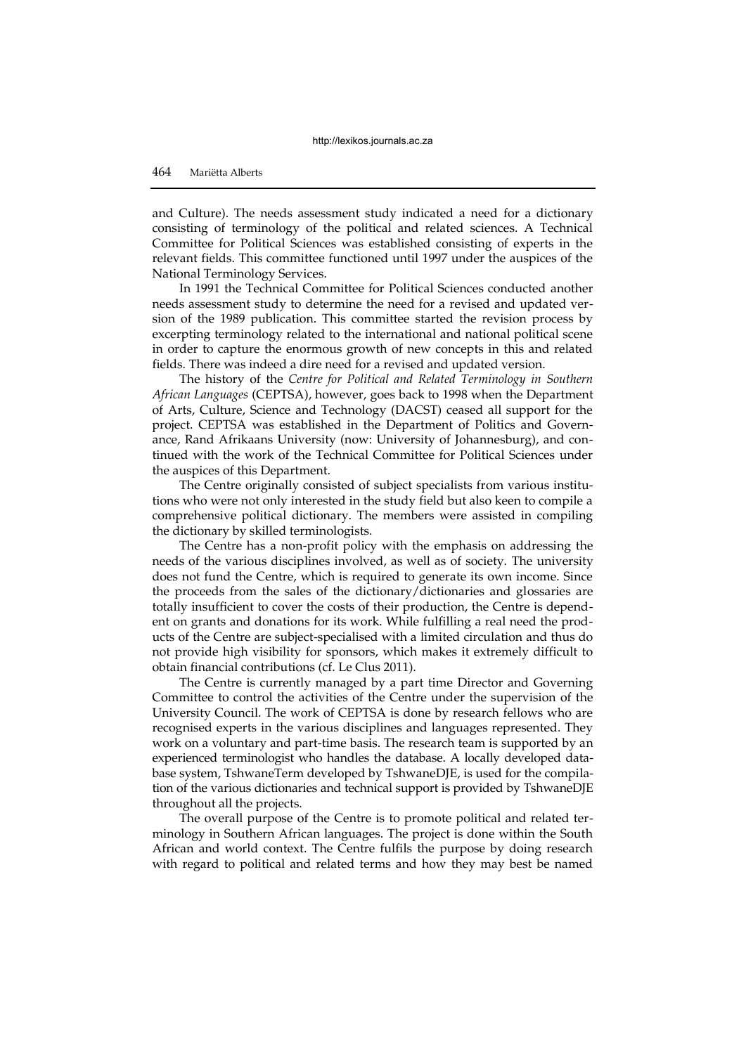and Culture). The needs assessment study indicated a need for a dictionary consisting of terminology of the political and related sciences. A Technical Committee for Political Sciences was established consisting of experts in the relevant fields. This committee functioned until 1997 under the auspices of the National Terminology Services.

In 1991 the Technical Committee for Political Sciences conducted another needs assessment study to determine the need for a revised and updated version of the 1989 publication. This committee started the revision process by excerpting terminology related to the international and national political scene in order to capture the enormous growth of new concepts in this and related fields. There was indeed a dire need for a revised and updated version.

The history of the *Centre for Political and Related Terminology in Southern African Languages* (CEPTSA), however, goes back to 1998 when the Department of Arts, Culture, Science and Technology (DACST) ceased all support for the project. CEPTSA was established in the Department of Politics and Governance, Rand Afrikaans University (now: University of Johannesburg), and continued with the work of the Technical Committee for Political Sciences under the auspices of this Department.

The Centre originally consisted of subject specialists from various institutions who were not only interested in the study field but also keen to compile a comprehensive political dictionary. The members were assisted in compiling the dictionary by skilled terminologists.

The Centre has a non-profit policy with the emphasis on addressing the needs of the various disciplines involved, as well as of society. The university does not fund the Centre, which is required to generate its own income. Since the proceeds from the sales of the dictionary/dictionaries and glossaries are totally insufficient to cover the costs of their production, the Centre is dependent on grants and donations for its work. While fulfilling a real need the products of the Centre are subject-specialised with a limited circulation and thus do not provide high visibility for sponsors, which makes it extremely difficult to obtain financial contributions (cf. Le Clus 2011).

The Centre is currently managed by a part time Director and Governing Committee to control the activities of the Centre under the supervision of the University Council. The work of CEPTSA is done by research fellows who are recognised experts in the various disciplines and languages represented. They work on a voluntary and part-time basis. The research team is supported by an experienced terminologist who handles the database. A locally developed database system, TshwaneTerm developed by TshwaneDJE, is used for the compilation of the various dictionaries and technical support is provided by TshwaneDJE throughout all the projects.

The overall purpose of the Centre is to promote political and related terminology in Southern African languages. The project is done within the South African and world context. The Centre fulfils the purpose by doing research with regard to political and related terms and how they may best be named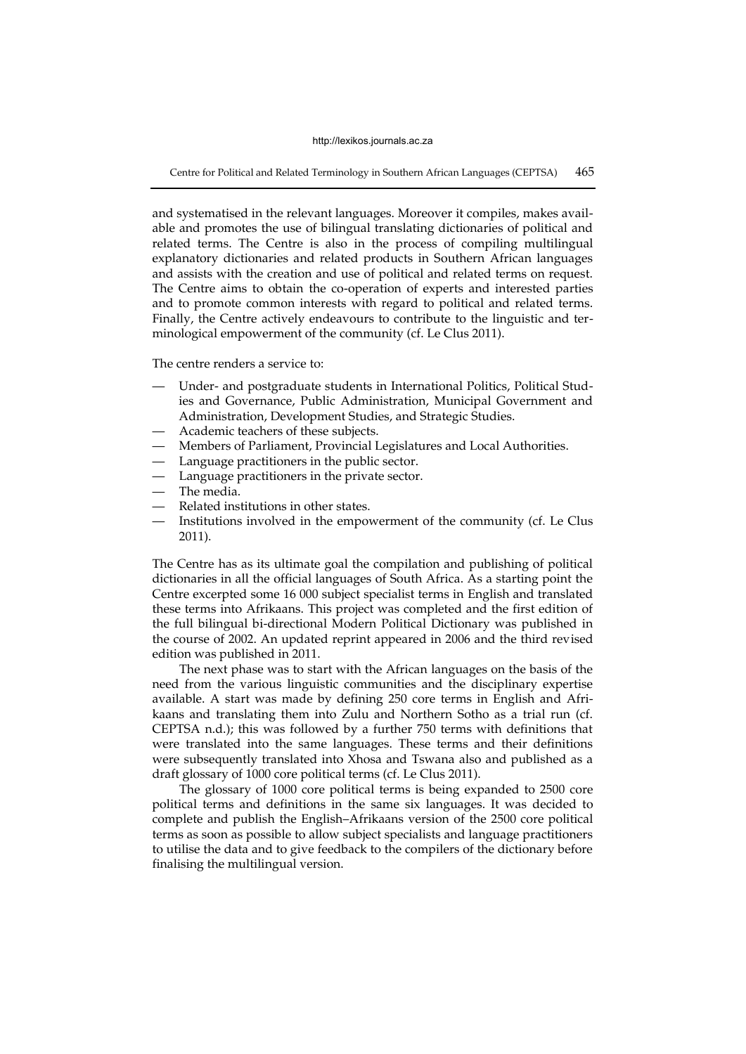Centre for Political and Related Terminology in Southern African Languages (CEPTSA) 465

and systematised in the relevant languages. Moreover it compiles, makes available and promotes the use of bilingual translating dictionaries of political and related terms. The Centre is also in the process of compiling multilingual explanatory dictionaries and related products in Southern African languages and assists with the creation and use of political and related terms on request. The Centre aims to obtain the co-operation of experts and interested parties and to promote common interests with regard to political and related terms. Finally, the Centre actively endeavours to contribute to the linguistic and terminological empowerment of the community (cf. Le Clus 2011).

The centre renders a service to:

- Under- and postgraduate students in International Politics, Political Studies and Governance, Public Administration, Municipal Government and Administration, Development Studies, and Strategic Studies.
- Academic teachers of these subjects.
- Members of Parliament, Provincial Legislatures and Local Authorities.
- Language practitioners in the public sector.
- Language practitioners in the private sector.
- The media.
- Related institutions in other states.
- Institutions involved in the empowerment of the community (cf. Le Clus 2011).

The Centre has as its ultimate goal the compilation and publishing of political dictionaries in all the official languages of South Africa. As a starting point the Centre excerpted some 16 000 subject specialist terms in English and translated these terms into Afrikaans. This project was completed and the first edition of the full bilingual bi-directional Modern Political Dictionary was published in the course of 2002. An updated reprint appeared in 2006 and the third revised edition was published in 2011.

The next phase was to start with the African languages on the basis of the need from the various linguistic communities and the disciplinary expertise available. A start was made by defining 250 core terms in English and Afrikaans and translating them into Zulu and Northern Sotho as a trial run (cf. CEPTSA n.d.); this was followed by a further 750 terms with definitions that were translated into the same languages. These terms and their definitions were subsequently translated into Xhosa and Tswana also and published as a draft glossary of 1000 core political terms (cf. Le Clus 2011).

The glossary of 1000 core political terms is being expanded to 2500 core political terms and definitions in the same six languages. It was decided to complete and publish the English–Afrikaans version of the 2500 core political terms as soon as possible to allow subject specialists and language practitioners to utilise the data and to give feedback to the compilers of the dictionary before finalising the multilingual version.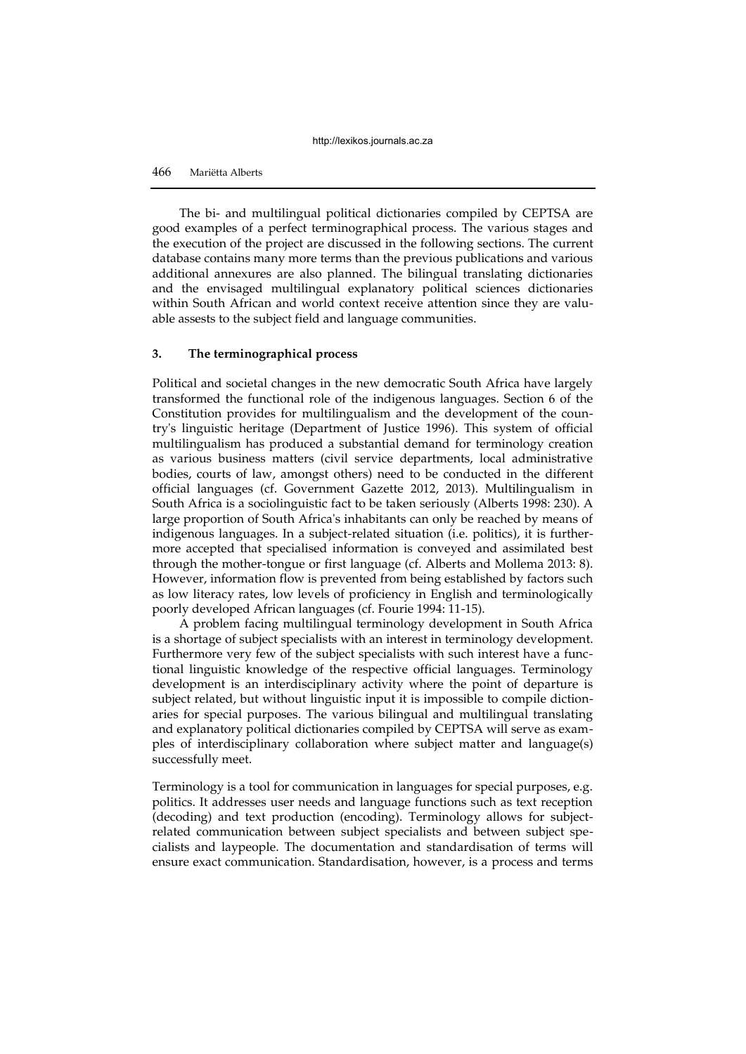The bi- and multilingual political dictionaries compiled by CEPTSA are good examples of a perfect terminographical process. The various stages and the execution of the project are discussed in the following sections. The current database contains many more terms than the previous publications and various additional annexures are also planned. The bilingual translating dictionaries and the envisaged multilingual explanatory political sciences dictionaries within South African and world context receive attention since they are valuable assests to the subject field and language communities.

# **3. The terminographical process**

Political and societal changes in the new democratic South Africa have largely transformed the functional role of the indigenous languages. Section 6 of the Constitution provides for multilingualism and the development of the country's linguistic heritage (Department of Justice 1996). This system of official multilingualism has produced a substantial demand for terminology creation as various business matters (civil service departments, local administrative bodies, courts of law, amongst others) need to be conducted in the different official languages (cf. Government Gazette 2012, 2013). Multilingualism in South Africa is a sociolinguistic fact to be taken seriously (Alberts 1998: 230). A large proportion of South Africa's inhabitants can only be reached by means of indigenous languages. In a subject-related situation (i.e. politics), it is furthermore accepted that specialised information is conveyed and assimilated best through the mother-tongue or first language (cf. Alberts and Mollema 2013: 8). However, information flow is prevented from being established by factors such as low literacy rates, low levels of proficiency in English and terminologically poorly developed African languages (cf. Fourie 1994: 11-15).

A problem facing multilingual terminology development in South Africa is a shortage of subject specialists with an interest in terminology development. Furthermore very few of the subject specialists with such interest have a functional linguistic knowledge of the respective official languages. Terminology development is an interdisciplinary activity where the point of departure is subject related, but without linguistic input it is impossible to compile dictionaries for special purposes. The various bilingual and multilingual translating and explanatory political dictionaries compiled by CEPTSA will serve as examples of interdisciplinary collaboration where subject matter and language(s) successfully meet.

Terminology is a tool for communication in languages for special purposes, e.g. politics. It addresses user needs and language functions such as text reception (decoding) and text production (encoding). Terminology allows for subjectrelated communication between subject specialists and between subject specialists and laypeople. The documentation and standardisation of terms will ensure exact communication. Standardisation, however, is a process and terms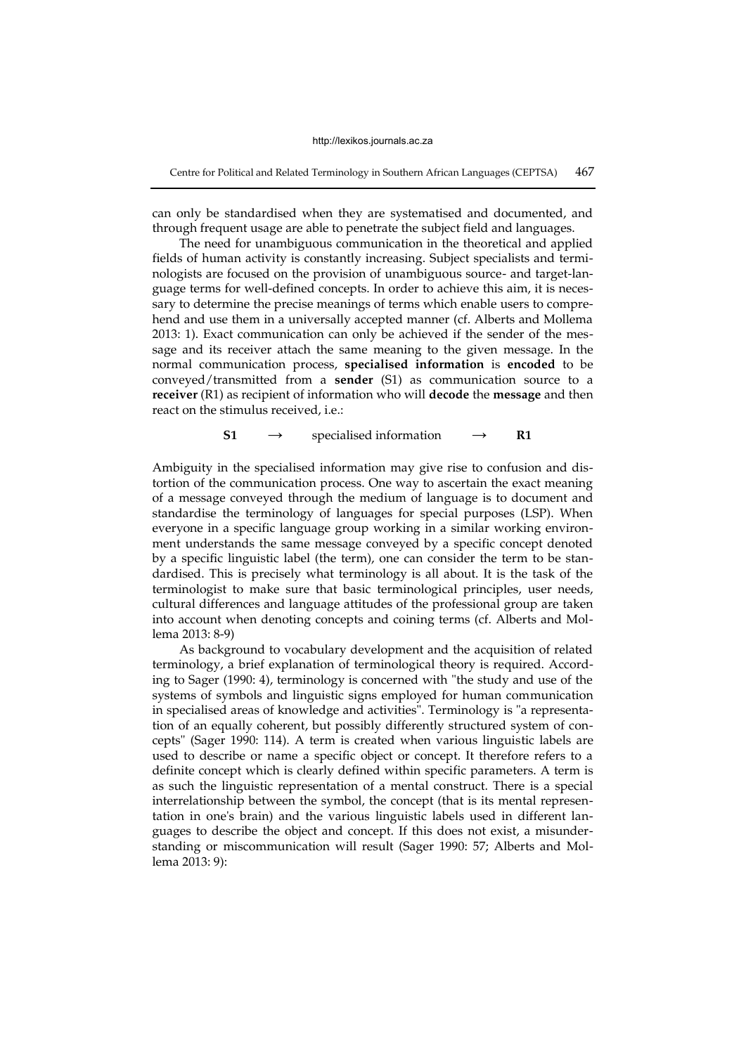Centre for Political and Related Terminology in Southern African Languages (CEPTSA) 467

can only be standardised when they are systematised and documented, and through frequent usage are able to penetrate the subject field and languages.

The need for unambiguous communication in the theoretical and applied fields of human activity is constantly increasing. Subject specialists and terminologists are focused on the provision of unambiguous source- and target-language terms for well-defined concepts. In order to achieve this aim, it is necessary to determine the precise meanings of terms which enable users to comprehend and use them in a universally accepted manner (cf. Alberts and Mollema 2013: 1). Exact communication can only be achieved if the sender of the message and its receiver attach the same meaning to the given message. In the normal communication process, **specialised information** is **encoded** to be conveyed/transmitted from a **sender** (S1) as communication source to a **receiver** (R1) as recipient of information who will **decode** the **message** and then react on the stimulus received, i.e.:

**S1**  $\rightarrow$  specialised information  $\rightarrow$  **R1** 

Ambiguity in the specialised information may give rise to confusion and distortion of the communication process. One way to ascertain the exact meaning of a message conveyed through the medium of language is to document and standardise the terminology of languages for special purposes (LSP). When everyone in a specific language group working in a similar working environment understands the same message conveyed by a specific concept denoted by a specific linguistic label (the term), one can consider the term to be standardised. This is precisely what terminology is all about. It is the task of the terminologist to make sure that basic terminological principles, user needs, cultural differences and language attitudes of the professional group are taken into account when denoting concepts and coining terms (cf. Alberts and Mollema 2013: 8-9)

As background to vocabulary development and the acquisition of related terminology, a brief explanation of terminological theory is required. According to Sager (1990: 4), terminology is concerned with "the study and use of the systems of symbols and linguistic signs employed for human communication in specialised areas of knowledge and activities". Terminology is "a representation of an equally coherent, but possibly differently structured system of concepts" (Sager 1990: 114). A term is created when various linguistic labels are used to describe or name a specific object or concept. It therefore refers to a definite concept which is clearly defined within specific parameters. A term is as such the linguistic representation of a mental construct. There is a special interrelationship between the symbol, the concept (that is its mental representation in one's brain) and the various linguistic labels used in different languages to describe the object and concept. If this does not exist, a misunderstanding or miscommunication will result (Sager 1990: 57; Alberts and Mollema 2013: 9):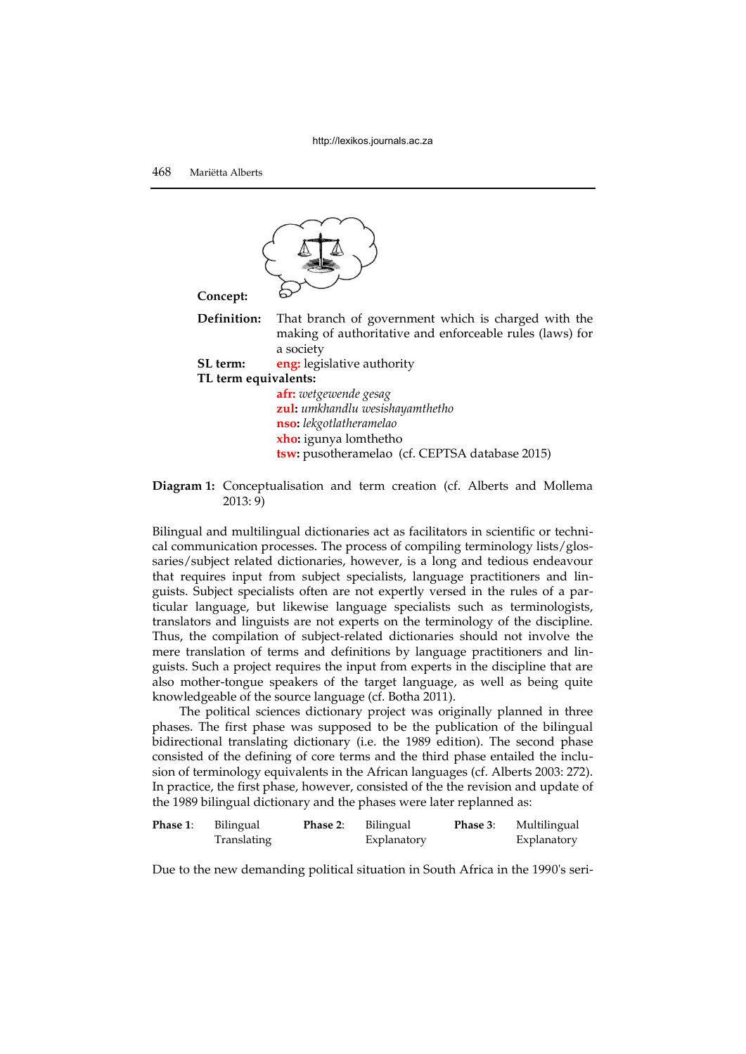

**Definition:** That branch of government which is charged with the making of authoritative and enforceable rules (laws) for a society

**SL term:** eng: legislative authority

**TL term equivalents:**

**afr:** *wetgewende gesag*  **zul:** *umkhandlu wesishayamthetho* **nso:** *lekgotlatheramelao*  **xho:** igunya lomthetho **tsw:** pusotheramelao (cf. CEPTSA database 2015)

**Diagram 1:** Conceptualisation and term creation (cf. Alberts and Mollema 2013: 9)

Bilingual and multilingual dictionaries act as facilitators in scientific or technical communication processes. The process of compiling terminology lists/glossaries/subject related dictionaries, however, is a long and tedious endeavour that requires input from subject specialists, language practitioners and linguists. Subject specialists often are not expertly versed in the rules of a particular language, but likewise language specialists such as terminologists, translators and linguists are not experts on the terminology of the discipline. Thus, the compilation of subject-related dictionaries should not involve the mere translation of terms and definitions by language practitioners and linguists. Such a project requires the input from experts in the discipline that are also mother-tongue speakers of the target language, as well as being quite knowledgeable of the source language (cf. Botha 2011).

The political sciences dictionary project was originally planned in three phases. The first phase was supposed to be the publication of the bilingual bidirectional translating dictionary (i.e. the 1989 edition). The second phase consisted of the defining of core terms and the third phase entailed the inclusion of terminology equivalents in the African languages (cf. Alberts 2003: 272). In practice, the first phase, however, consisted of the the revision and update of the 1989 bilingual dictionary and the phases were later replanned as:

| Phase 1: | Bilingual   | Phase 2: | Bilingual   | <b>Phase 3:</b> | Multilingual |
|----------|-------------|----------|-------------|-----------------|--------------|
|          | Translating |          | Explanatory |                 | Explanatory  |

Due to the new demanding political situation in South Africa in the 1990's seri-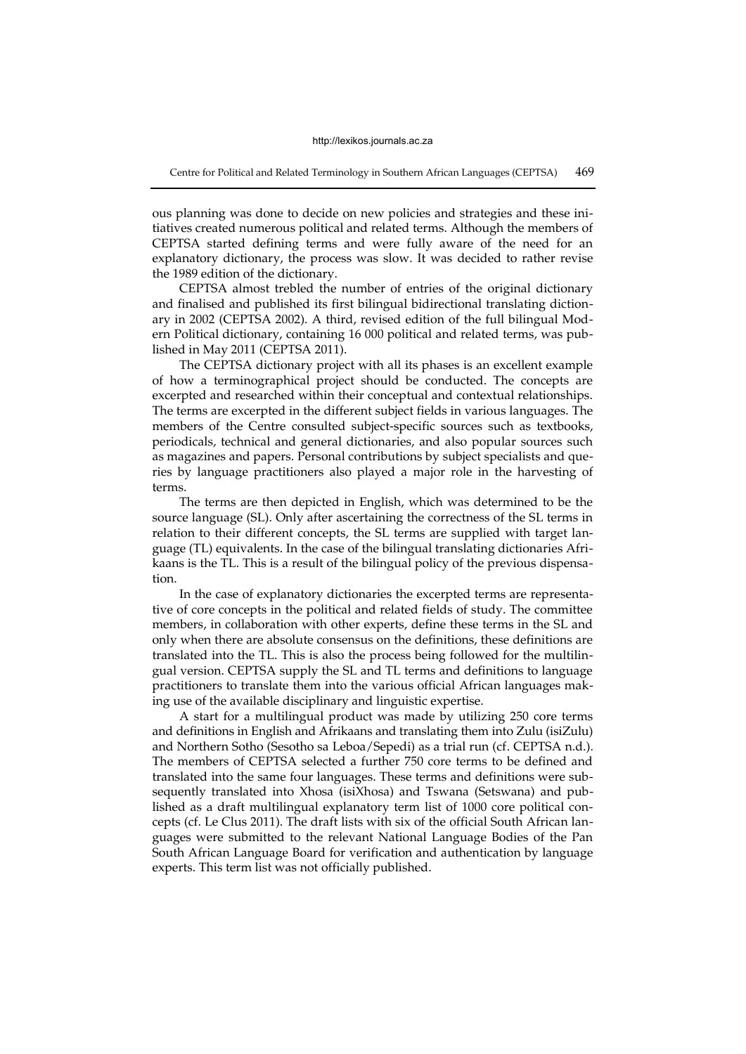Centre for Political and Related Terminology in Southern African Languages (CEPTSA) 469

ous planning was done to decide on new policies and strategies and these initiatives created numerous political and related terms. Although the members of CEPTSA started defining terms and were fully aware of the need for an explanatory dictionary, the process was slow. It was decided to rather revise the 1989 edition of the dictionary.

CEPTSA almost trebled the number of entries of the original dictionary and finalised and published its first bilingual bidirectional translating dictionary in 2002 (CEPTSA 2002). A third, revised edition of the full bilingual Modern Political dictionary, containing 16 000 political and related terms, was published in May 2011 (CEPTSA 2011).

The CEPTSA dictionary project with all its phases is an excellent example of how a terminographical project should be conducted. The concepts are excerpted and researched within their conceptual and contextual relationships. The terms are excerpted in the different subject fields in various languages. The members of the Centre consulted subject-specific sources such as textbooks, periodicals, technical and general dictionaries, and also popular sources such as magazines and papers. Personal contributions by subject specialists and queries by language practitioners also played a major role in the harvesting of terms.

The terms are then depicted in English, which was determined to be the source language (SL). Only after ascertaining the correctness of the SL terms in relation to their different concepts, the SL terms are supplied with target language (TL) equivalents. In the case of the bilingual translating dictionaries Afrikaans is the TL. This is a result of the bilingual policy of the previous dispensation.

In the case of explanatory dictionaries the excerpted terms are representative of core concepts in the political and related fields of study. The committee members, in collaboration with other experts, define these terms in the SL and only when there are absolute consensus on the definitions, these definitions are translated into the TL. This is also the process being followed for the multilingual version. CEPTSA supply the SL and TL terms and definitions to language practitioners to translate them into the various official African languages making use of the available disciplinary and linguistic expertise.

A start for a multilingual product was made by utilizing 250 core terms and definitions in English and Afrikaans and translating them into Zulu (isiZulu) and Northern Sotho (Sesotho sa Leboa/Sepedi) as a trial run (cf. CEPTSA n.d.). The members of CEPTSA selected a further 750 core terms to be defined and translated into the same four languages. These terms and definitions were subsequently translated into Xhosa (isiXhosa) and Tswana (Setswana) and published as a draft multilingual explanatory term list of 1000 core political concepts (cf. Le Clus 2011). The draft lists with six of the official South African languages were submitted to the relevant National Language Bodies of the Pan South African Language Board for verification and authentication by language experts. This term list was not officially published.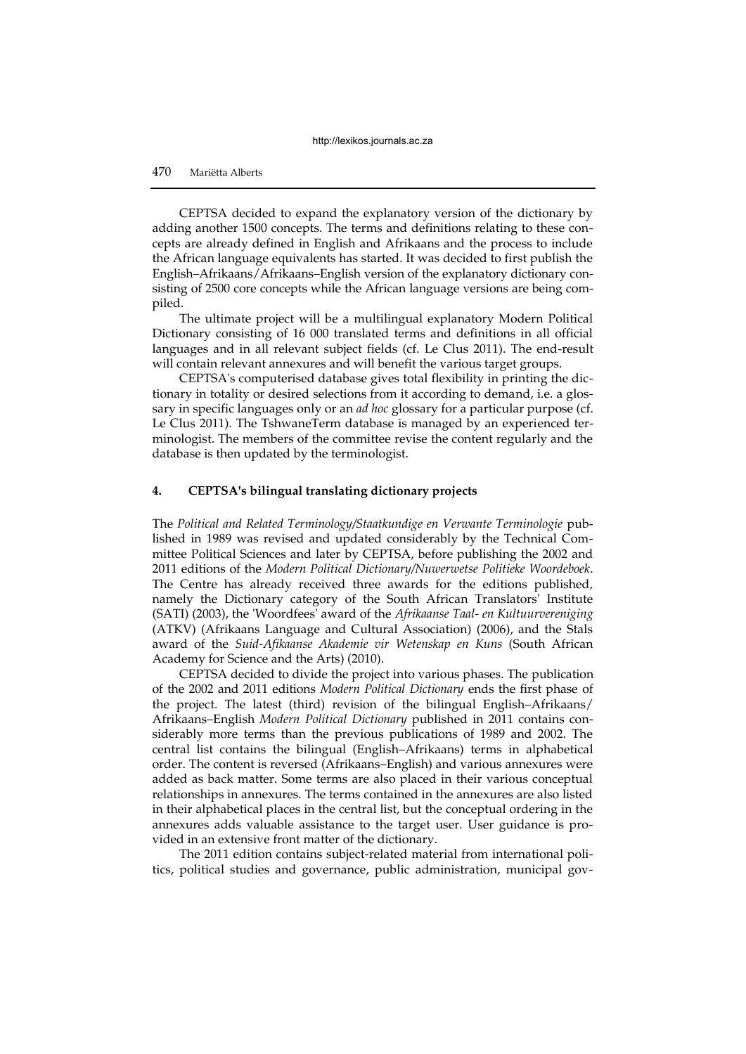# 470 Mariëtta Alberts

CEPTSA decided to expand the explanatory version of the dictionary by adding another 1500 concepts. The terms and definitions relating to these concepts are already defined in English and Afrikaans and the process to include the African language equivalents has started. It was decided to first publish the English–Afrikaans/Afrikaans–English version of the explanatory dictionary consisting of 2500 core concepts while the African language versions are being compiled.

The ultimate project will be a multilingual explanatory Modern Political Dictionary consisting of 16 000 translated terms and definitions in all official languages and in all relevant subject fields (cf. Le Clus 2011). The end-result will contain relevant annexures and will benefit the various target groups.

CEPTSA's computerised database gives total flexibility in printing the dictionary in totality or desired selections from it according to demand, i.e. a glossary in specific languages only or an *ad hoc* glossary for a particular purpose (cf. Le Clus 2011). The TshwaneTerm database is managed by an experienced terminologist. The members of the committee revise the content regularly and the database is then updated by the terminologist.

#### **4. CEPTSA's bilingual translating dictionary projects**

The *Political and Related Terminology/Staatkundige en Verwante Terminologie* published in 1989 was revised and updated considerably by the Technical Committee Political Sciences and later by CEPTSA, before publishing the 2002 and 2011 editions of the *Modern Political Dictionary/Nuwerwetse Politieke Woordeboek*. The Centre has already received three awards for the editions published, namely the Dictionary category of the South African Translators' Institute (SATI) (2003), the 'Woordfees' award of the *Afrikaanse Taal- en Kultuurvereniging*  (ATKV) (Afrikaans Language and Cultural Association) (2006), and the Stals award of the *Suid-Afikaanse Akademie vir Wetenskap en Kuns* (South African Academy for Science and the Arts) (2010).

CEPTSA decided to divide the project into various phases. The publication of the 2002 and 2011 editions *Modern Political Dictionary* ends the first phase of the project. The latest (third) revision of the bilingual English–Afrikaans/ Afrikaans–English *Modern Political Dictionary* published in 2011 contains considerably more terms than the previous publications of 1989 and 2002. The central list contains the bilingual (English–Afrikaans) terms in alphabetical order. The content is reversed (Afrikaans–English) and various annexures were added as back matter. Some terms are also placed in their various conceptual relationships in annexures. The terms contained in the annexures are also listed in their alphabetical places in the central list, but the conceptual ordering in the annexures adds valuable assistance to the target user. User guidance is provided in an extensive front matter of the dictionary.

The 2011 edition contains subject-related material from international politics, political studies and governance, public administration, municipal gov-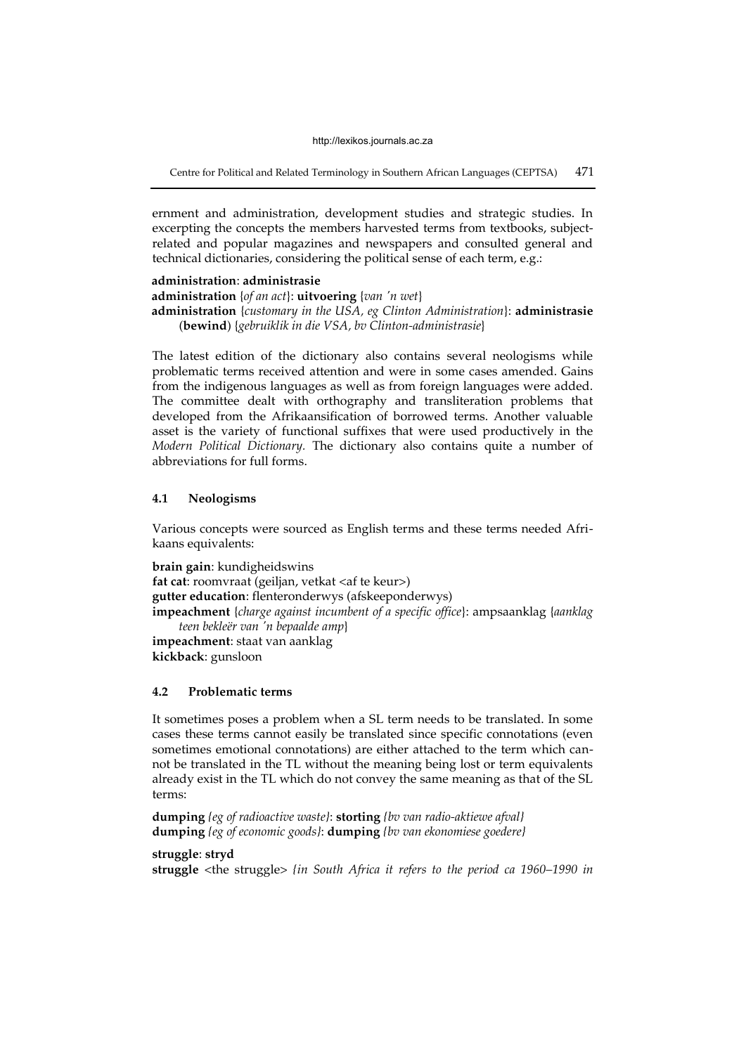Centre for Political and Related Terminology in Southern African Languages (CEPTSA) 471

ernment and administration, development studies and strategic studies. In excerpting the concepts the members harvested terms from textbooks, subjectrelated and popular magazines and newspapers and consulted general and technical dictionaries, considering the political sense of each term, e.g.:

# **administration**: **administrasie administration** {*of an act*}: **uitvoering** {*van 'n wet*} **administration** {*customary in the USA, eg Clinton Administration*}: **administrasie** (**bewind**) {*gebruiklik in die VSA, bv Clinton-administrasie*}

The latest edition of the dictionary also contains several neologisms while problematic terms received attention and were in some cases amended. Gains from the indigenous languages as well as from foreign languages were added. The committee dealt with orthography and transliteration problems that developed from the Afrikaansification of borrowed terms. Another valuable asset is the variety of functional suffixes that were used productively in the *Modern Political Dictionary.* The dictionary also contains quite a number of abbreviations for full forms.

# **4.1 Neologisms**

Various concepts were sourced as English terms and these terms needed Afrikaans equivalents:

**brain gain**: kundigheidswins **fat cat**: roomvraat (geiljan, vetkat <af te keur>) **gutter education**: flenteronderwys (afskeeponderwys) **impeachment** {*charge against incumbent of a specific office*}: ampsaanklag {*aanklag teen bekleër van 'n bepaalde amp*} **impeachment**: staat van aanklag **kickback**: gunsloon

#### **4.2 Problematic terms**

It sometimes poses a problem when a SL term needs to be translated. In some cases these terms cannot easily be translated since specific connotations (even sometimes emotional connotations) are either attached to the term which cannot be translated in the TL without the meaning being lost or term equivalents already exist in the TL which do not convey the same meaning as that of the SL terms:

**dumping** *{eg of radioactive waste}*: **storting** *{bv van radio-aktiewe afval}* **dumping** *{eg of economic goods}*: **dumping** *{bv van ekonomiese goedere}*

**struggle**: **stryd** 

**struggle** <the struggle> *{in South Africa it refers to the period ca 1960–1990 in*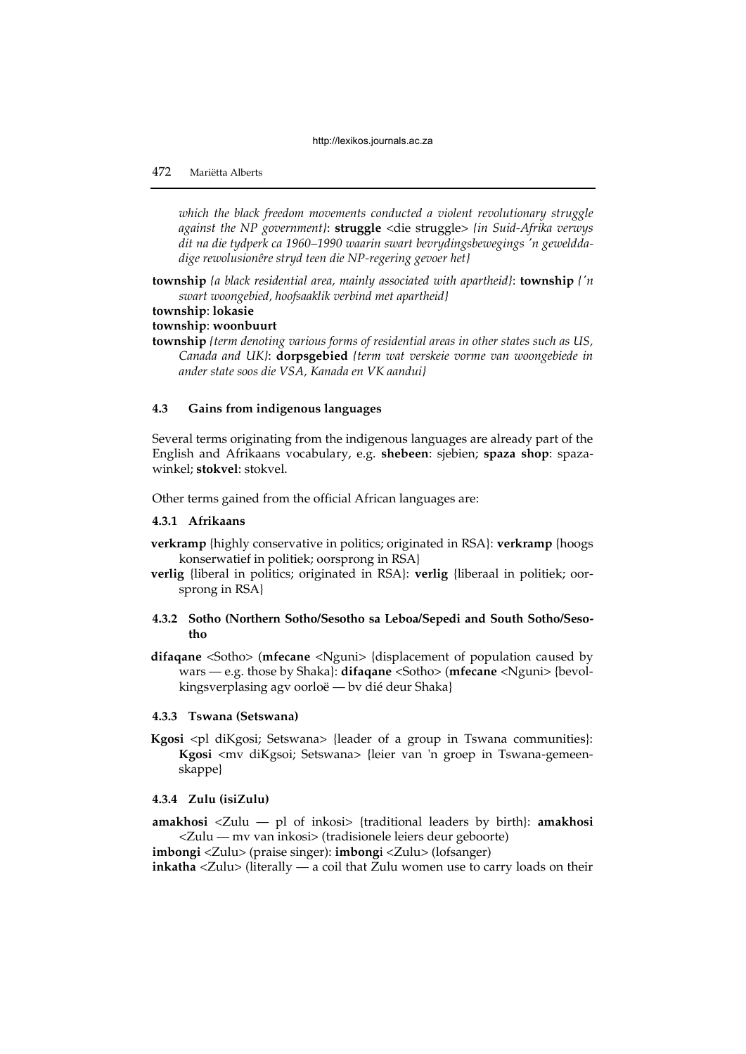*which the black freedom movements conducted a violent revolutionary struggle against the NP government}*: **struggle** <die struggle> *{in Suid-Afrika verwys dit na die tydperk ca 1960–1990 waarin swart bevrydingsbewegings 'n gewelddadige rewolusionêre stryd teen die NP-regering gevoer het}*

**township** *{a black residential area, mainly associated with apartheid}*: **township** *{'n swart woongebied, hoofsaaklik verbind met apartheid}*

**township**: **lokasie** 

#### **township**: **woonbuurt**

**township** *{term denoting various forms of residential areas in other states such as US, Canada and UK}*: **dorpsgebied** *{term wat verskeie vorme van woongebiede in ander state soos die VSA, Kanada en VK aandui}*

#### **4.3 Gains from indigenous languages**

Several terms originating from the indigenous languages are already part of the English and Afrikaans vocabulary, e.g. **shebeen**: sjebien; **spaza shop**: spazawinkel; **stokvel**: stokvel.

Other terms gained from the official African languages are:

#### **4.3.1 Afrikaans**

**verkramp** {highly conservative in politics; originated in RSA}: **verkramp** {hoogs konserwatief in politiek; oorsprong in RSA}

**verlig** {liberal in politics; originated in RSA}: **verlig** {liberaal in politiek; oorsprong in RSA}

# **4.3.2 Sotho (Northern Sotho/Sesotho sa Leboa/Sepedi and South Sotho/Sesotho**

**difaqane** <Sotho> (**mfecane** <Nguni> {displacement of population caused by wars — e.g. those by Shaka}: **difaqane** <Sotho> (**mfecane** <Nguni> {bevolkingsverplasing agv oorloë — bv dié deur Shaka}

#### **4.3.3 Tswana (Setswana)**

Kgosi <pl diKgosi; Setswana> {leader of a group in Tswana communities}: **Kgosi** <mv diKgsoi; Setswana> {leier van 'n groep in Tswana-gemeenskappe}

# **4.3.4 Zulu (isiZulu)**

**amakhosi** <Zulu — pl of inkosi> {traditional leaders by birth}: **amakhosi** <Zulu — mv van inkosi> (tradisionele leiers deur geboorte)

**imbongi** <Zulu> (praise singer): **imbong**i <Zulu> (lofsanger)

**inkatha** <Zulu> (literally — a coil that Zulu women use to carry loads on their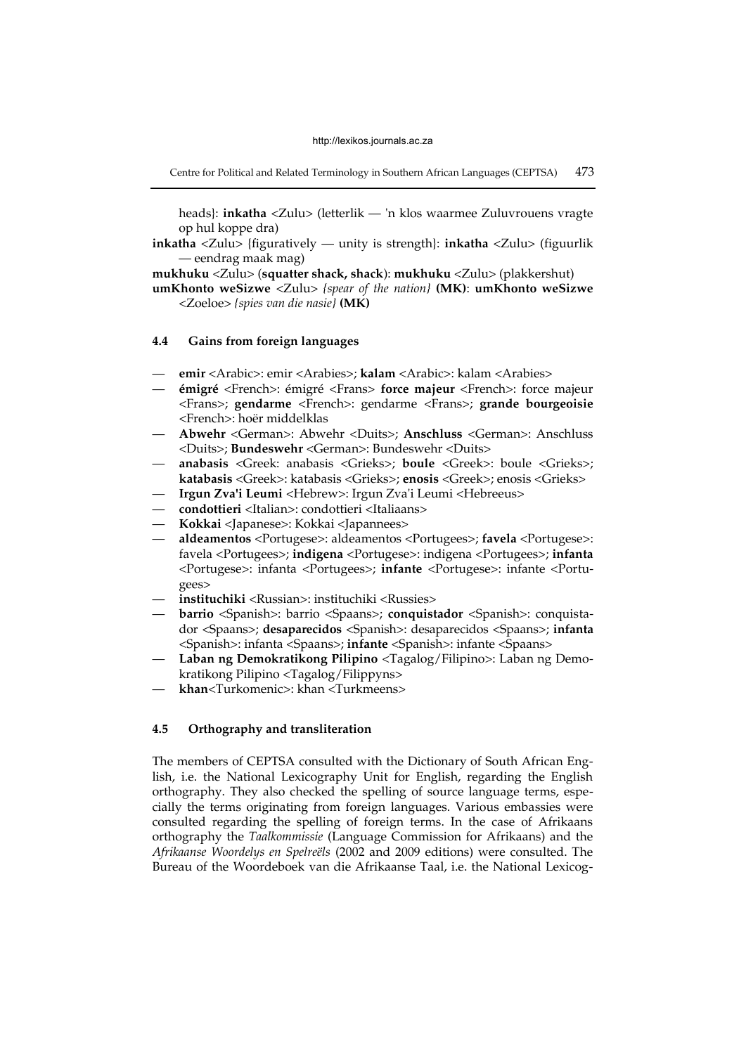Centre for Political and Related Terminology in Southern African Languages (CEPTSA) 473

heads}: **inkatha** <Zulu> (letterlik — 'n klos waarmee Zuluvrouens vragte op hul koppe dra)

**inkatha** <Zulu> {figuratively — unity is strength}: **inkatha** <Zulu> (figuurlik — eendrag maak mag)

**mukhuku** <Zulu> (**squatter shack, shack**): **mukhuku** <Zulu> (plakkershut)

**umKhonto weSizwe** <Zulu> *{spear of the nation}* **(MK)**: **umKhonto weSizwe**  <Zoeloe> *{spies van die nasie}* **(MK)**

#### **4.4 Gains from foreign languages**

- **emir** <Arabic>: emir <Arabies>; **kalam** <Arabic>: kalam <Arabies>
- **émigré** <French>: émigré <Frans> **force majeur** <French>: force majeur <Frans>; **gendarme** <French>: gendarme <Frans>; **grande bourgeoisie**  <French>: hoër middelklas
- **Abwehr** <German>: Abwehr <Duits>; **Anschluss** <German>: Anschluss <Duits>; **Bundeswehr** <German>: Bundeswehr <Duits>
- **anabasis** <Greek: anabasis <Grieks>; **boule** <Greek>: boule <Grieks>; **katabasis** <Greek>: katabasis <Grieks>; **enosis** <Greek>; enosis <Grieks>
- **Irgun Zva'i Leumi** <Hebrew>: Irgun Zva'i Leumi <Hebreeus>
- **condottieri** <Italian>: condottieri <Italiaans>
- **Kokkai** <Japanese>: Kokkai <Japannees>
- **aldeamentos** <Portugese>: aldeamentos <Portugees>; **favela** <Portugese>: favela <Portugees>; **indigena** <Portugese>: indigena <Portugees>; **infanta** <Portugese>: infanta <Portugees>; **infante** <Portugese>: infante <Portugees>
- **instituchiki** <Russian>: instituchiki <Russies>
- **barrio** <Spanish>: barrio <Spaans>; **conquistador** <Spanish>: conquistador <Spaans>; **desaparecidos** <Spanish>: desaparecidos <Spaans>; **infanta** <Spanish>: infanta <Spaans>; **infante** <Spanish>: infante <Spaans>
- **Laban ng Demokratikong Pilipino** <Tagalog/Filipino>: Laban ng Demokratikong Pilipino <Tagalog/Filippyns>
- **khan**<Turkomenic>: khan <Turkmeens>

# **4.5 Orthography and transliteration**

The members of CEPTSA consulted with the Dictionary of South African English, i.e. the National Lexicography Unit for English, regarding the English orthography. They also checked the spelling of source language terms, especially the terms originating from foreign languages. Various embassies were consulted regarding the spelling of foreign terms. In the case of Afrikaans orthography the *Taalkommissie* (Language Commission for Afrikaans) and the *Afrikaanse Woordelys en Spelreëls* (2002 and 2009 editions) were consulted. The Bureau of the Woordeboek van die Afrikaanse Taal, i.e. the National Lexicog-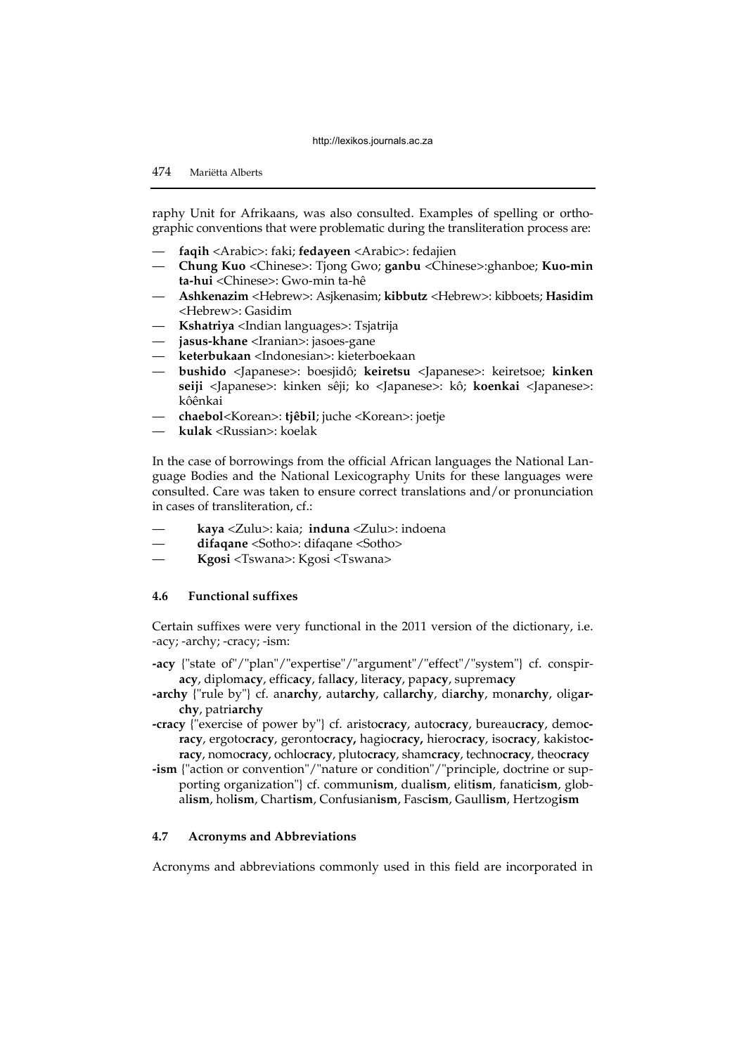raphy Unit for Afrikaans, was also consulted. Examples of spelling or orthographic conventions that were problematic during the transliteration process are:

- **faqih** <Arabic>: faki; **fedayeen** <Arabic>: fedajien
- **Chung Kuo** <Chinese>: Tjong Gwo; **ganbu** <Chinese>:ghanboe; **Kuo-min ta-hui** <Chinese>: Gwo-min ta-hê
- **Ashkenazim** <Hebrew>: Asjkenasim; **kibbutz** <Hebrew>: kibboets; **Hasidim** <Hebrew>: Gasidim
- **Kshatriya** <Indian languages>: Tsjatrija
- **jasus-khane** <Iranian>: jasoes-gane
- **keterbukaan** <Indonesian>: kieterboekaan
- **bushido** <Japanese>: boesjidô; **keiretsu** <Japanese>: keiretsoe; **kinken seiji** <Japanese>: kinken sêji; ko <Japanese>: kô; **koenkai** <Japanese>: kôênkai
- **chaebol**<Korean>: **tjêbil**; juche <Korean>: joetje
- **kulak** <Russian>: koelak

In the case of borrowings from the official African languages the National Language Bodies and the National Lexicography Units for these languages were consulted. Care was taken to ensure correct translations and/or pronunciation in cases of transliteration, cf.:

- **kaya** <Zulu>: kaia; **induna** <Zulu>: indoena
- **difaqane** <Sotho>: difaqane <Sotho>
- **Kgosi** <Tswana>: Kgosi <Tswana>

# **4.6 Functional suffixes**

Certain suffixes were very functional in the 2011 version of the dictionary, i.e. -acy; -archy; -cracy; -ism:

- **-acy** {"state of"/"plan"/"expertise"/"argument"/"effect"/"system"} cf. conspir**acy**, diplom**acy**, effic**acy**, fall**acy**, liter**acy**, pap**acy**, suprem**acy**
- **-archy** {"rule by"} cf. an**archy**, aut**archy**, call**archy**, di**archy**, mon**archy**, olig**archy**, patri**archy**
- **-cracy** {"exercise of power by"} cf. aristo**cracy**, auto**cracy**, bureau**cracy**, demo**cracy**, ergoto**cracy**, geronto**cracy,** hagio**cracy,** hiero**cracy**, iso**cracy**, kakisto**cracy**, nomo**cracy**, ochlo**cracy**, pluto**cracy**, sham**cracy**, techno**cracy**, theo**cracy**
- **-ism** {"action or convention"/"nature or condition"/"principle, doctrine or supporting organization"} cf. commun**ism**, dual**ism**, elit**ism**, fanatic**ism**, global**ism**, hol**ism**, Chart**ism**, Confusian**ism**, Fasc**ism**, Gaull**ism**, Hertzog**ism**

#### **4.7 Acronyms and Abbreviations**

Acronyms and abbreviations commonly used in this field are incorporated in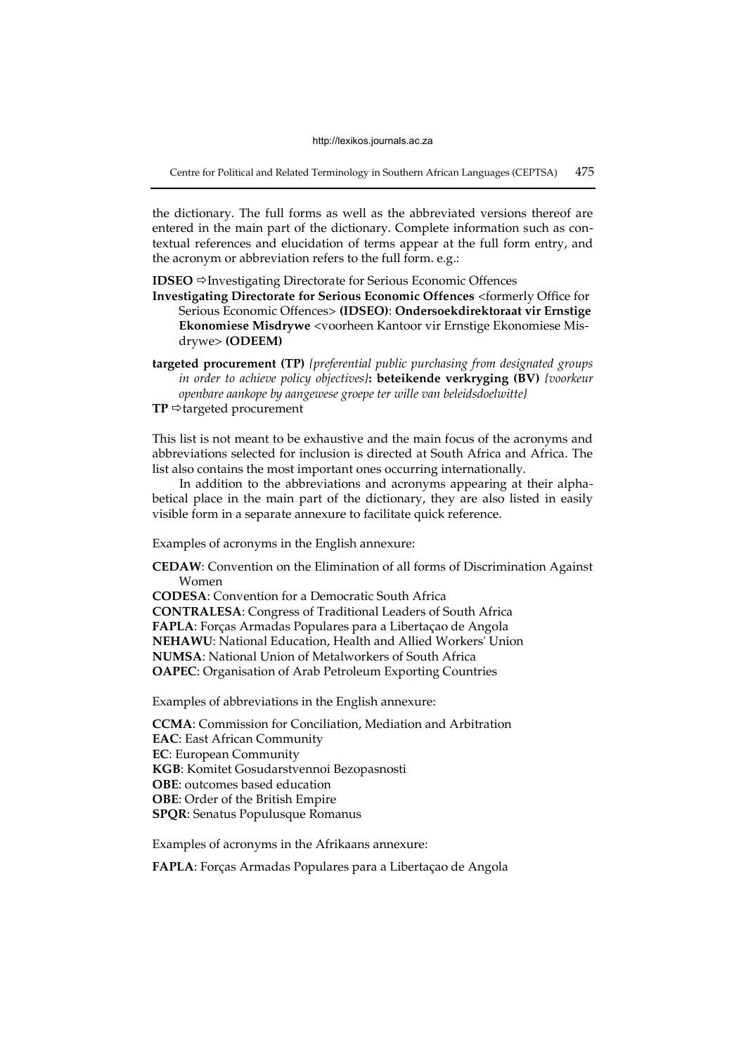Centre for Political and Related Terminology in Southern African Languages (CEPTSA) 475

the dictionary. The full forms as well as the abbreviated versions thereof are entered in the main part of the dictionary. Complete information such as contextual references and elucidation of terms appear at the full form entry, and the acronym or abbreviation refers to the full form. e.g.:

**IDSEO**  $\Rightarrow$  Investigating Directorate for Serious Economic Offences

**Investigating Directorate for Serious Economic Offences** <formerly Office for Serious Economic Offences> **(IDSEO)**: **Ondersoekdirektoraat vir Ernstige Ekonomiese Misdrywe** <voorheen Kantoor vir Ernstige Ekonomiese Misdrywe> **(ODEEM)**

**targeted procurement (TP)** *{preferential public purchasing from designated groups in order to achieve policy objectives}***: beteikende verkryging (BV)** *{voorkeur openbare aankope by aangewese groepe ter wille van beleidsdoelwitte}*

 $TP \Rightarrow$  targeted procurement

This list is not meant to be exhaustive and the main focus of the acronyms and abbreviations selected for inclusion is directed at South Africa and Africa. The list also contains the most important ones occurring internationally.

In addition to the abbreviations and acronyms appearing at their alphabetical place in the main part of the dictionary, they are also listed in easily visible form in a separate annexure to facilitate quick reference.

Examples of acronyms in the English annexure:

**CEDAW**: Convention on the Elimination of all forms of Discrimination Against Women

**CODESA**: Convention for a Democratic South Africa **CONTRALESA**: Congress of Traditional Leaders of South Africa **FAPLA**: Forças Armadas Populares para a Libertaçao de Angola **NEHAWU**: National Education, Health and Allied Workers' Union **NUMSA**: National Union of Metalworkers of South Africa **OAPEC**: Organisation of Arab Petroleum Exporting Countries

Examples of abbreviations in the English annexure:

**CCMA**: Commission for Conciliation, Mediation and Arbitration **EAC**: East African Community **EC**: European Community **KGB**: Komitet Gosudarstvennoi Bezopasnosti **OBE**: outcomes based education **OBE**: Order of the British Empire **SPQR**: Senatus Populusque Romanus

Examples of acronyms in the Afrikaans annexure:

**FAPLA**: Forças Armadas Populares para a Libertaçao de Angola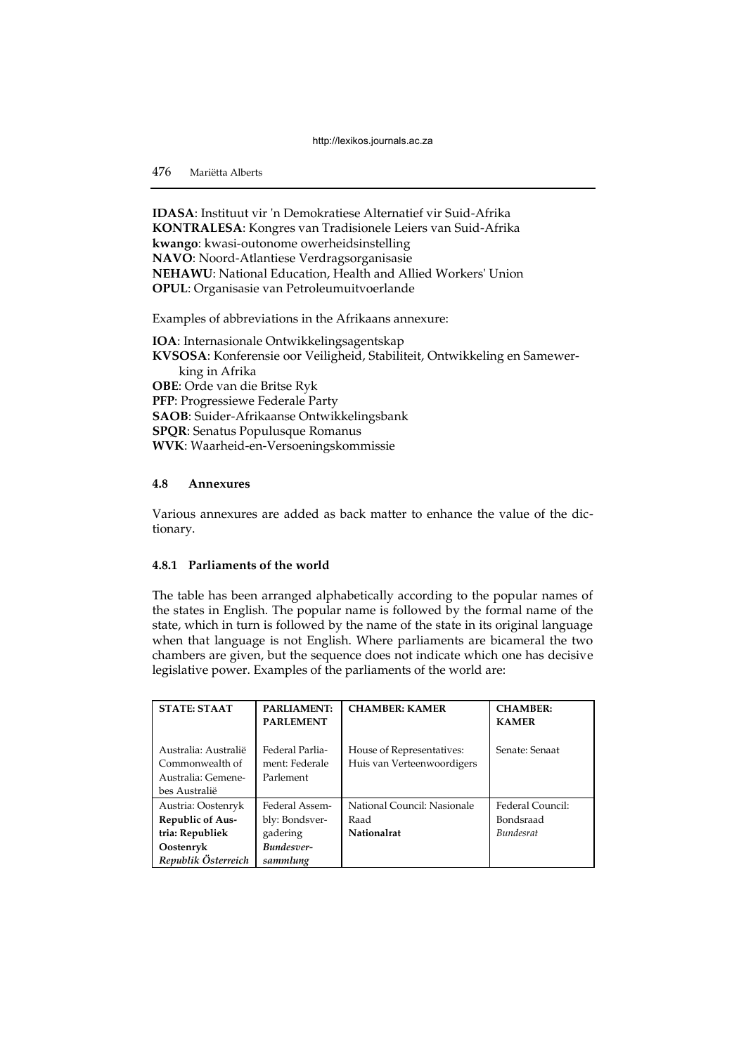**IDASA**: Instituut vir 'n Demokratiese Alternatief vir Suid-Afrika **KONTRALESA**: Kongres van Tradisionele Leiers van Suid-Afrika **kwango**: kwasi-outonome owerheidsinstelling **NAVO**: Noord-Atlantiese Verdragsorganisasie **NEHAWU**: National Education, Health and Allied Workers' Union **OPUL**: Organisasie van Petroleumuitvoerlande

Examples of abbreviations in the Afrikaans annexure:

**IOA**: Internasionale Ontwikkelingsagentskap **KVSOSA**: Konferensie oor Veiligheid, Stabiliteit, Ontwikkeling en Samewerking in Afrika **OBE**: Orde van die Britse Ryk **PFP**: Progressiewe Federale Party **SAOB**: Suider-Afrikaanse Ontwikkelingsbank **SPQR**: Senatus Populusque Romanus **WVK**: Waarheid-en-Versoeningskommissie

# **4.8 Annexures**

Various annexures are added as back matter to enhance the value of the dictionary.

# **4.8.1 Parliaments of the world**

The table has been arranged alphabetically according to the popular names of the states in English. The popular name is followed by the formal name of the state, which in turn is followed by the name of the state in its original language when that language is not English. Where parliaments are bicameral the two chambers are given, but the sequence does not indicate which one has decisive legislative power. Examples of the parliaments of the world are:

| <b>STATE: STAAT</b>                                                            | <b>PARLIAMENT:</b><br><b>PARLEMENT</b>         | <b>CHAMBER: KAMER</b>                                   | <b>CHAMBER:</b><br><b>KAMER</b> |
|--------------------------------------------------------------------------------|------------------------------------------------|---------------------------------------------------------|---------------------------------|
| Australia: Australië<br>Commonwealth of<br>Australia: Gemene-<br>bes Australië | Federal Parlia-<br>ment: Federale<br>Parlement | House of Representatives:<br>Huis van Verteenwoordigers | Senate: Senaat                  |
| Austria: Oostenryk                                                             | Federal Assem-                                 | National Council: Nasionale                             | Federal Council:                |
| <b>Republic of Aus-</b>                                                        | bly: Bondsver-                                 | Raad                                                    | Bondsraad                       |
| tria: Republiek                                                                | gadering                                       | Nationalrat                                             | <b>Bundesrat</b>                |
| Oostenryk                                                                      | <b>Bundesver-</b>                              |                                                         |                                 |
| Republik Österreich                                                            | sammlung                                       |                                                         |                                 |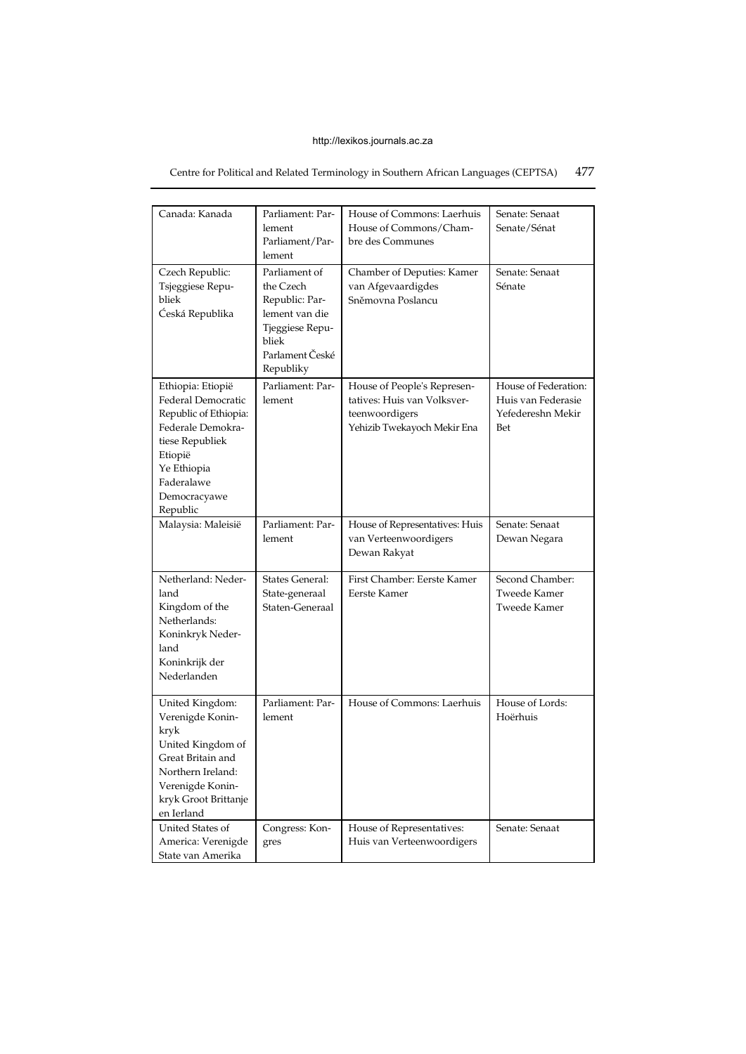# Centre for Political and Related Terminology in Southern African Languages (CEPTSA) 477

| Canada: Kanada                                                                                                                                                               | Parliament: Par-<br>lement<br>Parliament/Par-<br>lement                                                                    | House of Commons: Laerhuis<br>House of Commons/Cham-<br>bre des Communes                                    | Senate: Senaat<br>Senate/Sénat                                         |
|------------------------------------------------------------------------------------------------------------------------------------------------------------------------------|----------------------------------------------------------------------------------------------------------------------------|-------------------------------------------------------------------------------------------------------------|------------------------------------------------------------------------|
| Czech Republic:<br>Tsjeggiese Repu-<br>bliek<br>Ćeská Republika                                                                                                              | Parliament of<br>the Czech<br>Republic: Par-<br>lement van die<br>Tjeggiese Repu-<br>bliek<br>Parlament České<br>Republiky | Chamber of Deputies: Kamer<br>van Afgevaardigdes<br>Sněmovna Poslancu                                       | Senate: Senaat<br>Sénate                                               |
| Ethiopia: Etiopië<br>Federal Democratic<br>Republic of Ethiopia:<br>Federale Demokra-<br>tiese Republiek<br>Etiopië<br>Ye Ethiopia<br>Faderalawe<br>Democracyawe<br>Republic | Parliament: Par-<br>lement                                                                                                 | House of People's Represen-<br>tatives: Huis van Volksver-<br>teenwoordigers<br>Yehizib Twekayoch Mekir Ena | House of Federation:<br>Huis van Federasie<br>Yefedereshn Mekir<br>Bet |
| Malaysia: Maleisië                                                                                                                                                           | Parliament: Par-<br>lement                                                                                                 | House of Representatives: Huis<br>van Verteenwoordigers<br>Dewan Rakyat                                     | Senate: Senaat<br>Dewan Negara                                         |
| Netherland: Neder-<br>land<br>Kingdom of the<br>Netherlands:<br>Koninkryk Neder-<br>land<br>Koninkrijk der<br>Nederlanden                                                    | States General:<br>State-generaal<br>Staten-Generaal                                                                       | First Chamber: Eerste Kamer<br>Eerste Kamer                                                                 | Second Chamber:<br><b>Tweede Kamer</b><br>Tweede Kamer                 |
| United Kingdom:<br>Verenigde Konin-<br>kryk<br>United Kingdom of<br>Great Britain and<br>Northern Ireland:<br>Verenigde Konin-<br>kryk Groot Brittanje<br>en Ierland         | Parliament: Par-<br>lement                                                                                                 | House of Commons: Laerhuis                                                                                  | House of Lords:<br>Hoërhuis                                            |
| United States of<br>America: Verenigde<br>State van Amerika                                                                                                                  | Congress: Kon-<br>gres                                                                                                     | House of Representatives:<br>Huis van Verteenwoordigers                                                     | Senate: Senaat                                                         |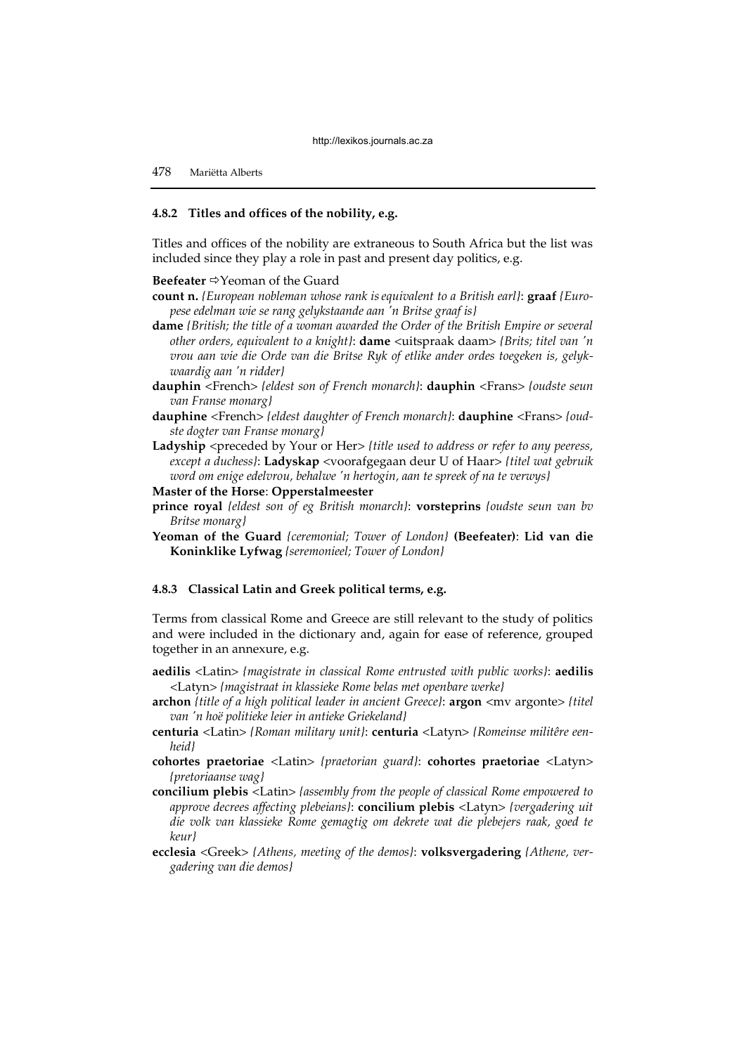# **4.8.2 Titles and offices of the nobility, e.g.**

Titles and offices of the nobility are extraneous to South Africa but the list was included since they play a role in past and present day politics, e.g.

#### **Beefeater** <sup> $⇒$ </sup>Yeoman of the Guard

- **count n.** *{European nobleman whose rank isequivalent to a British earl}*: **graaf** *{Europese edelman wie se rang gelykstaande aan 'n Britse graaf is}*
- **dame** *{British; the title of a woman awarded the Order of the British Empire or several other orders, equivalent to a knight}*: **dame** <uitspraak daam> *{Brits; titel van 'n vrou aan wie die Orde van die Britse Ryk of etlike ander ordes toegeken is, gelykwaardig aan 'n ridder}*
- **dauphin** <French> *{eldest son of French monarch}*: **dauphin** <Frans> *{oudste seun van Franse monarg}*
- **dauphine** <French> *{eldest daughter of French monarch}*: **dauphine** <Frans> *{oudste dogter van Franse monarg}*
- Ladyship <preceded by Your or Her> *{title used to address or refer to any peeress, except a duchess}*: **Ladyskap** <voorafgegaan deur U of Haar> *{titel wat gebruik word om enige edelvrou, behalwe 'n hertogin, aan te spreek of na te verwys}*
- **Master of the Horse**: **Opperstalmeester**
- **prince royal** *{eldest son of eg British monarch}*: **vorsteprins** *{oudste seun van bv Britse monarg}*
- **Yeoman of the Guard** *{ceremonial; Tower of London}* **(Beefeater)**: **Lid van die Koninklike Lyfwag** *{seremonieel; Tower of London}*

#### **4.8.3 Classical Latin and Greek political terms, e.g.**

Terms from classical Rome and Greece are still relevant to the study of politics and were included in the dictionary and, again for ease of reference, grouped together in an annexure, e.g.

- **aedilis** <Latin> *{magistrate in classical Rome entrusted with public works}*: **aedilis**  <Latyn> *{magistraat in klassieke Rome belas met openbare werke}*
- **archon** *{title of a high political leader in ancient Greece}:* **argon**  $\langle$ mv argonte> *{titel*} *van 'n hoë politieke leier in antieke Griekeland}*
- **centuria** <Latin> *{Roman military unit}*: **centuria** <Latyn> *{Romeinse militêre eenheid}*
- **cohortes praetoriae** <Latin> *{praetorian guard}*: **cohortes praetoriae** <Latyn> *{pretoriaanse wag}*
- **concilium plebis** <Latin> *{assembly from the people of classical Rome empowered to approve decrees affecting plebeians}*: **concilium plebis** <Latyn> *{vergadering uit die volk van klassieke Rome gemagtig om dekrete wat die plebejers raak, goed te keur}*
- **ecclesia** <Greek> *{Athens, meeting of the demos}*: **volksvergadering** *{Athene, vergadering van die demos}*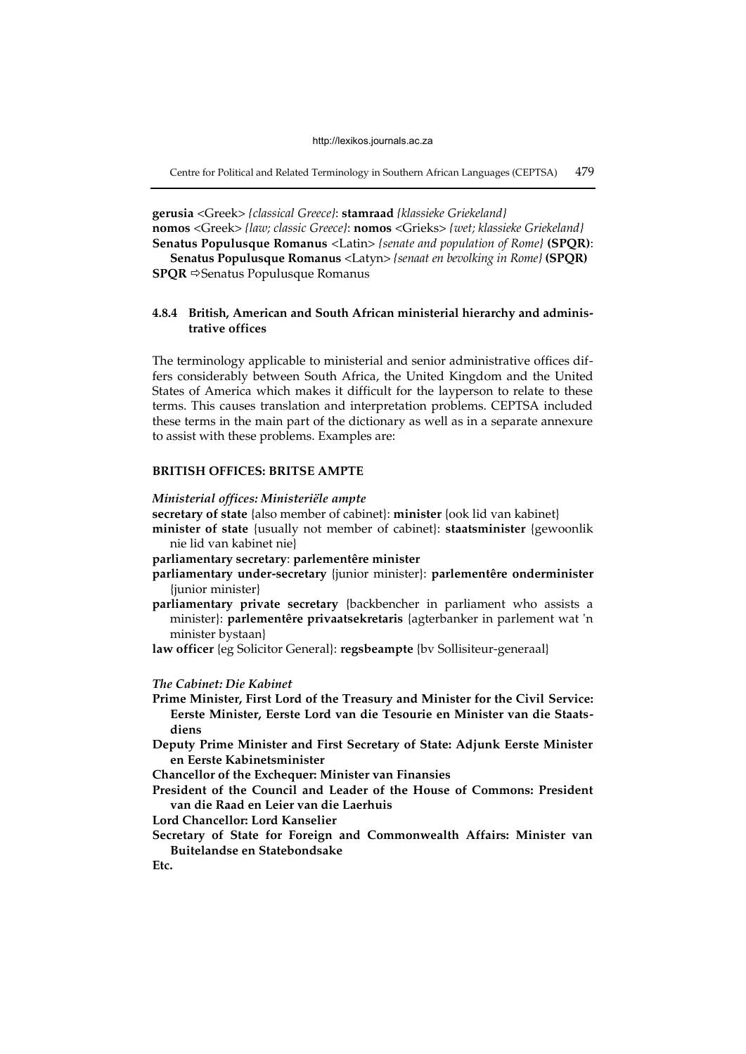Centre for Political and Related Terminology in Southern African Languages (CEPTSA) 479

**gerusia** <Greek> *{classical Greece}*: **stamraad** *{klassieke Griekeland}* **nomos** <Greek> *{law; classic Greece}*: **nomos** <Grieks> *{wet; klassieke Griekeland}*  **Senatus Populusque Romanus** <Latin> *{senate and population of Rome}* **(SPQR)**:

**Senatus Populusque Romanus** <Latyn> *{senaat en bevolking in Rome}* **(SPQR) SPQR** <sup>⇒</sup>Senatus Populusque Romanus

# **4.8.4 British, American and South African ministerial hierarchy and administrative offices**

The terminology applicable to ministerial and senior administrative offices differs considerably between South Africa, the United Kingdom and the United States of America which makes it difficult for the layperson to relate to these terms. This causes translation and interpretation problems. CEPTSA included these terms in the main part of the dictionary as well as in a separate annexure to assist with these problems. Examples are:

# **BRITISH OFFICES: BRITSE AMPTE**

#### *Ministerial offices: Ministeriële ampte*

**secretary of state** {also member of cabinet}: **minister** {ook lid van kabinet}

**minister of state** {usually not member of cabinet}: **staatsminister** {gewoonlik nie lid van kabinet nie}

**parliamentary secretary**: **parlementêre minister** 

- **parliamentary under-secretary** {junior minister}: **parlementêre onderminister** {junior minister}
- **parliamentary private secretary** {backbencher in parliament who assists a minister}: **parlementêre privaatsekretaris** {agterbanker in parlement wat 'n minister bystaan}

**law officer** {eg Solicitor General}: **regsbeampte** {bv Sollisiteur-generaal}

#### *The Cabinet: Die Kabinet*

- **Prime Minister, First Lord of the Treasury and Minister for the Civil Service: Eerste Minister, Eerste Lord van die Tesourie en Minister van die Staatsdiens**
- **Deputy Prime Minister and First Secretary of State: Adjunk Eerste Minister en Eerste Kabinetsminister**

**Chancellor of the Exchequer: Minister van Finansies** 

**President of the Council and Leader of the House of Commons: President van die Raad en Leier van die Laerhuis** 

**Lord Chancellor: Lord Kanselier** 

**Secretary of State for Foreign and Commonwealth Affairs: Minister van Buitelandse en Statebondsake** 

**Etc.**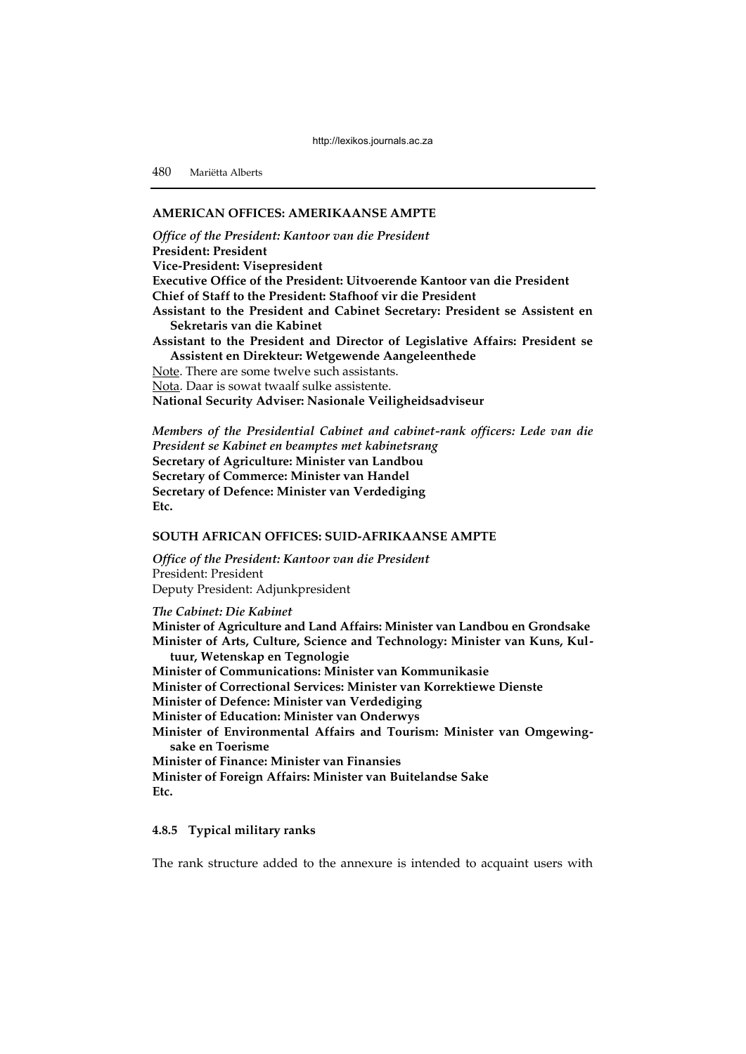# **AMERICAN OFFICES: AMERIKAANSE AMPTE**

*Office of the President: Kantoor van die President*  **President: President Vice-President: Visepresident Executive Office of the President: Uitvoerende Kantoor van die President Chief of Staff to the President: Stafhoof vir die President Assistant to the President and Cabinet Secretary: President se Assistent en Sekretaris van die Kabinet Assistant to the President and Director of Legislative Affairs: President se Assistent en Direkteur: Wetgewende Aangeleenthede**  Note. There are some twelve such assistants. Nota. Daar is sowat twaalf sulke assistente. **National Security Adviser: Nasionale Veiligheidsadviseur** 

*Members of the Presidential Cabinet and cabinet-rank officers: Lede van die President se Kabinet en beamptes met kabinetsrang*  **Secretary of Agriculture: Minister van Landbou Secretary of Commerce: Minister van Handel Secretary of Defence: Minister van Verdediging Etc.** 

# **SOUTH AFRICAN OFFICES: SUID-AFRIKAANSE AMPTE**

*Office of the President: Kantoor van die President*  President: President Deputy President: Adjunkpresident

*The Cabinet: Die Kabinet* 

**Minister of Agriculture and Land Affairs: Minister van Landbou en Grondsake Minister of Arts, Culture, Science and Technology: Minister van Kuns, Kultuur, Wetenskap en Tegnologie Minister of Communications: Minister van Kommunikasie Minister of Correctional Services: Minister van Korrektiewe Dienste Minister of Defence: Minister van Verdediging Minister of Education: Minister van Onderwys Minister of Environmental Affairs and Tourism: Minister van Omgewingsake en Toerisme Minister of Finance: Minister van Finansies Minister of Foreign Affairs: Minister van Buitelandse Sake Etc.** 

# **4.8.5 Typical military ranks**

The rank structure added to the annexure is intended to acquaint users with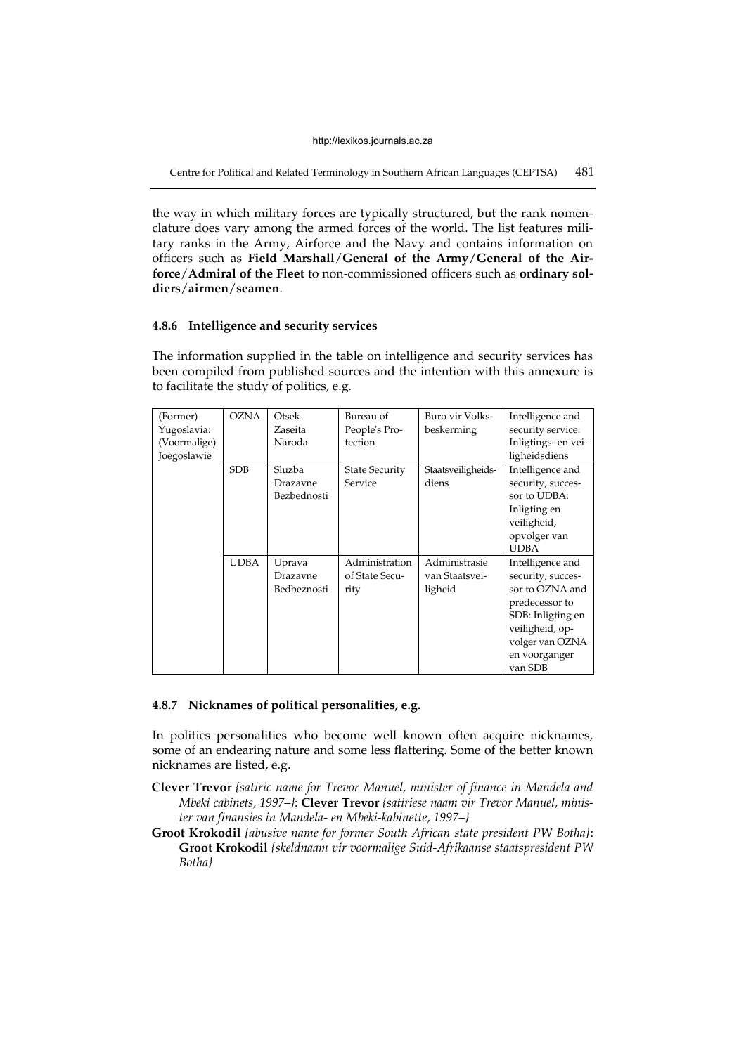Centre for Political and Related Terminology in Southern African Languages (CEPTSA) 481

the way in which military forces are typically structured, but the rank nomenclature does vary among the armed forces of the world. The list features military ranks in the Army, Airforce and the Navy and contains information on officers such as **Field Marshall**/**General of the Army**/**General of the Airforce**/**Admiral of the Fleet** to non-commissioned officers such as **ordinary soldiers**/**airmen**/**seamen**.

#### **4.8.6 Intelligence and security services**

The information supplied in the table on intelligence and security services has been compiled from published sources and the intention with this annexure is to facilitate the study of politics, e.g.

| (Former)     | <b>OZNA</b> | Otsek                   | Bureau of             | Buro vir Volks-    | Intelligence and                  |
|--------------|-------------|-------------------------|-----------------------|--------------------|-----------------------------------|
| Yugoslavia:  |             | Zaseita                 | People's Pro-         | beskerming         | security service:                 |
| (Voormalige) |             | Naroda                  | tection               |                    | Inligtings- en vei-               |
| Joegoslawië  |             |                         |                       |                    | ligheidsdiens                     |
|              | <b>SDB</b>  | Sluzba                  | <b>State Security</b> | Staatsveiligheids- | Intelligence and                  |
|              |             | Drazavne<br>Bezbednosti | Service               | diens              | security, succes-<br>sor to UDBA: |
|              |             |                         |                       |                    | Inligting en                      |
|              |             |                         |                       |                    | veiligheid,                       |
|              |             |                         |                       |                    | opvolger van                      |
|              |             |                         |                       |                    | <b>UDBA</b>                       |
|              | <b>UDBA</b> | Uprava                  | Administration        | Administrasie      | Intelligence and                  |
|              |             | Drazavne                | of State Secu-        | van Staatsvei-     | security, succes-                 |
|              |             | Bedbeznosti             | rity                  | ligheid            | sor to OZNA and                   |
|              |             |                         |                       |                    | predecessor to                    |
|              |             |                         |                       |                    | SDB: Inligting en                 |
|              |             |                         |                       |                    | veiligheid, op-                   |
|              |             |                         |                       |                    | volger van OZNA                   |
|              |             |                         |                       |                    | en voorganger                     |
|              |             |                         |                       |                    | van SDB                           |

## **4.8.7 Nicknames of political personalities, e.g.**

In politics personalities who become well known often acquire nicknames, some of an endearing nature and some less flattering. Some of the better known nicknames are listed, e.g.

**Clever Trevor** *{satiric name for Trevor Manuel, minister of finance in Mandela and Mbeki cabinets, 1997–}*: **Clever Trevor** *{satiriese naam vir Trevor Manuel, minister van finansies in Mandela- en Mbeki-kabinette, 1997–}* 

**Groot Krokodil** *{abusive name for former South African state president PW Botha}*: **Groot Krokodil** *{skeldnaam vir voormalige Suid-Afrikaanse staatspresident PW Botha}*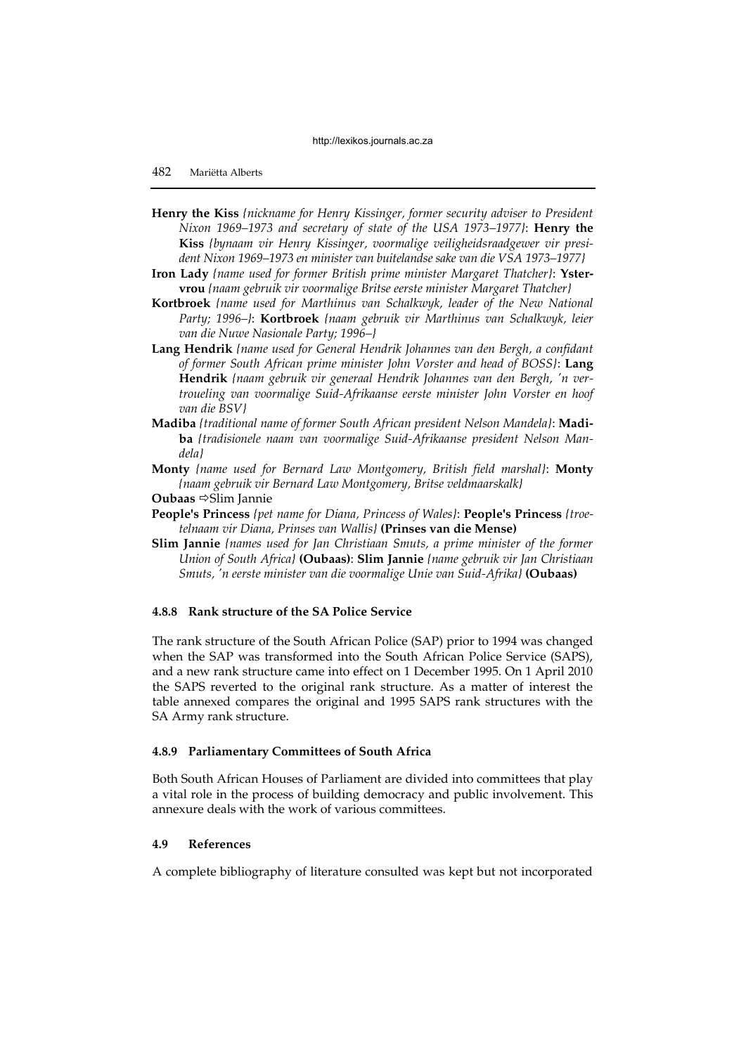- **Henry the Kiss** *{nickname for Henry Kissinger, former security adviser to President Nixon 1969–1973 and secretary of state of the USA 1973–1977}*: **Henry the Kiss** *{bynaam vir Henry Kissinger, voormalige veiligheidsraadgewer vir president Nixon 1969–1973 en minister van buitelandse sake van die VSA 1973–1977}*
- **Iron Lady** *{name used for former British prime minister Margaret Thatcher}*: **Ystervrou** *{naam gebruik vir voormalige Britse eerste minister Margaret Thatcher}*
- **Kortbroek** *{name used for Marthinus van Schalkwyk, leader of the New National Party; 1996–}*: **Kortbroek** *{naam gebruik vir Marthinus van Schalkwyk, leier van die Nuwe Nasionale Party; 1996–}*
- **Lang Hendrik** *{name used for General Hendrik Johannes van den Bergh, a confidant of former South African prime minister John Vorster and head of BOSS}*: **Lang Hendrik** *{naam gebruik vir generaal Hendrik Johannes van den Bergh, 'n vertroueling van voormalige Suid-Afrikaanse eerste minister John Vorster en hoof van die BSV}*
- **Madiba** *{traditional name of former South African president Nelson Mandela}*: **Madiba** *{tradisionele naam van voormalige Suid-Afrikaanse president Nelson Mandela}*
- **Monty** *{name used for Bernard Law Montgomery, British field marshal}*: **Monty**  *{naam gebruik vir Bernard Law Montgomery, Britse veldmaarskalk}*

**Oubaas** ⇒Slim Jannie

- **People's Princess** *{pet name for Diana, Princess of Wales}*: **People's Princess** *{troetelnaam vir Diana, Prinses van Wallis}* **(Prinses van die Mense)**
- **Slim Jannie** *{names used for Jan Christiaan Smuts, a prime minister of the former Union of South Africa}* **(Oubaas)**: **Slim Jannie** *{name gebruik vir Jan Christiaan Smuts, 'n eerste minister van die voormalige Unie van Suid-Afrika}* **(Oubaas)**

# **4.8.8 Rank structure of the SA Police Service**

The rank structure of the South African Police (SAP) prior to 1994 was changed when the SAP was transformed into the South African Police Service (SAPS), and a new rank structure came into effect on 1 December 1995. On 1 April 2010 the SAPS reverted to the original rank structure. As a matter of interest the table annexed compares the original and 1995 SAPS rank structures with the SA Army rank structure.

#### **4.8.9 Parliamentary Committees of South Africa**

Both South African Houses of Parliament are divided into committees that play a vital role in the process of building democracy and public involvement. This annexure deals with the work of various committees.

## **4.9 References**

A complete bibliography of literature consulted was kept but not incorporated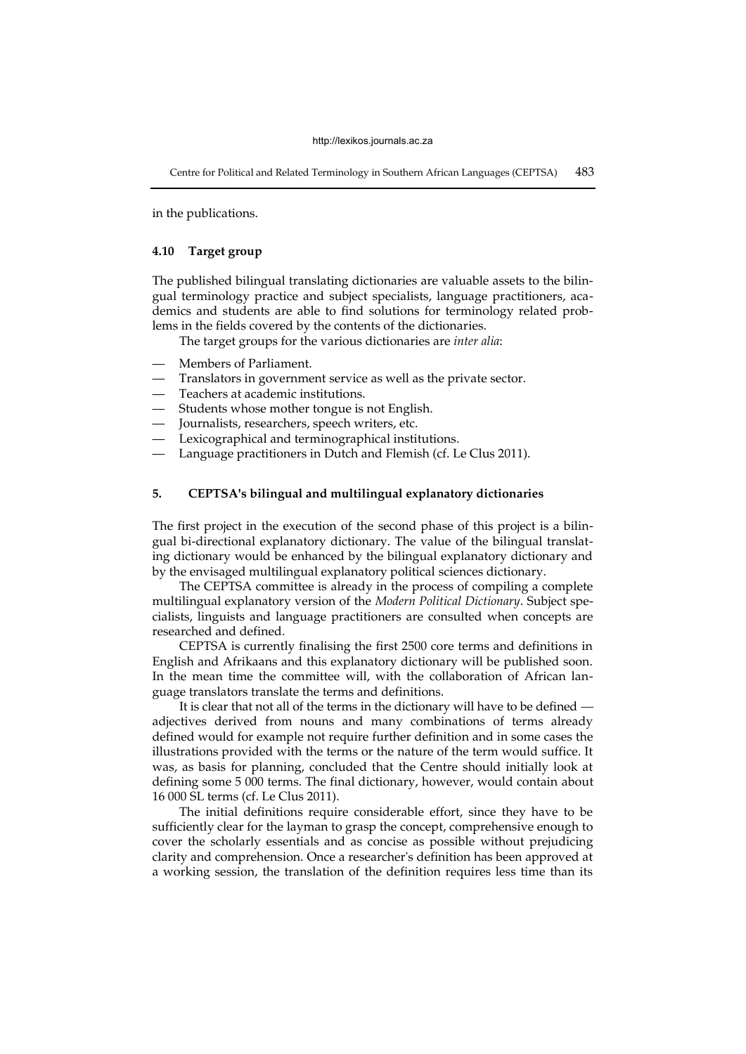Centre for Political and Related Terminology in Southern African Languages (CEPTSA) 483

in the publications.

# **4.10 Target group**

The published bilingual translating dictionaries are valuable assets to the bilingual terminology practice and subject specialists, language practitioners, academics and students are able to find solutions for terminology related problems in the fields covered by the contents of the dictionaries.

The target groups for the various dictionaries are *inter alia*:

- Members of Parliament.
- Translators in government service as well as the private sector.
- Teachers at academic institutions.
- Students whose mother tongue is not English.
- Journalists, researchers, speech writers, etc.
- Lexicographical and terminographical institutions.
- Language practitioners in Dutch and Flemish (cf. Le Clus 2011).

# **5. CEPTSA's bilingual and multilingual explanatory dictionaries**

The first project in the execution of the second phase of this project is a bilingual bi-directional explanatory dictionary. The value of the bilingual translating dictionary would be enhanced by the bilingual explanatory dictionary and by the envisaged multilingual explanatory political sciences dictionary.

The CEPTSA committee is already in the process of compiling a complete multilingual explanatory version of the *Modern Political Dictionary*. Subject specialists, linguists and language practitioners are consulted when concepts are researched and defined.

CEPTSA is currently finalising the first 2500 core terms and definitions in English and Afrikaans and this explanatory dictionary will be published soon. In the mean time the committee will, with the collaboration of African language translators translate the terms and definitions.

It is clear that not all of the terms in the dictionary will have to be defined  adjectives derived from nouns and many combinations of terms already defined would for example not require further definition and in some cases the illustrations provided with the terms or the nature of the term would suffice. It was, as basis for planning, concluded that the Centre should initially look at defining some 5 000 terms. The final dictionary, however, would contain about 16 000 SL terms (cf. Le Clus 2011).

The initial definitions require considerable effort, since they have to be sufficiently clear for the layman to grasp the concept, comprehensive enough to cover the scholarly essentials and as concise as possible without prejudicing clarity and comprehension. Once a researcher's definition has been approved at a working session, the translation of the definition requires less time than its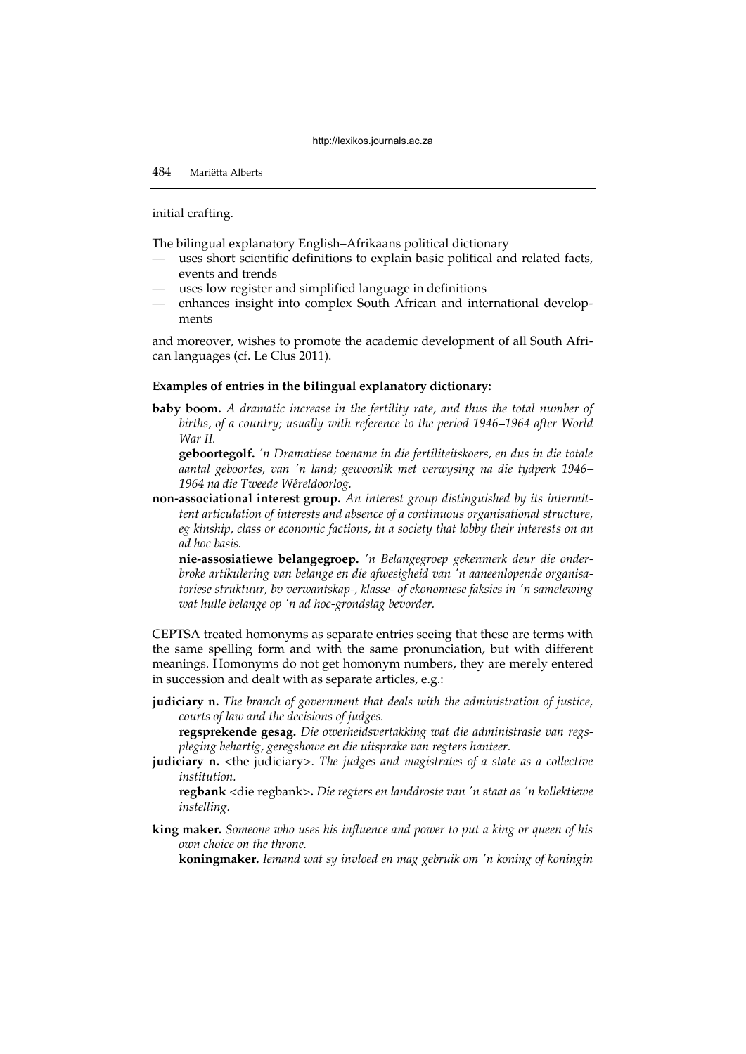initial crafting.

The bilingual explanatory English–Afrikaans political dictionary

- uses short scientific definitions to explain basic political and related facts, events and trends
- uses low register and simplified language in definitions
- enhances insight into complex South African and international developments

and moreover, wishes to promote the academic development of all South African languages (cf. Le Clus 2011).

#### **Examples of entries in the bilingual explanatory dictionary:**

**baby boom.** *A dramatic increase in the fertility rate, and thus the total number of births, of a country; usually with reference to the period 1946–1964 after World War II.* 

**geboortegolf.** *'n Dramatiese toename in die fertiliteitskoers, en dus in die totale aantal geboortes, van 'n land; gewoonlik met verwysing na die tydperk 1946– 1964 na die Tweede Wêreldoorlog.*

**non-associational interest group.** *An interest group distinguished by its intermittent articulation of interests and absence of a continuous organisational structure, eg kinship, class or economic factions, in a society that lobby their interests on an ad hoc basis.* 

**nie-assosiatiewe belangegroep.** *'n Belangegroep gekenmerk deur die onderbroke artikulering van belange en die afwesigheid van 'n aaneenlopende organisatoriese struktuur, bv verwantskap-, klasse- of ekonomiese faksies in 'n samelewing wat hulle belange op 'n ad hoc-grondslag bevorder.*

CEPTSA treated homonyms as separate entries seeing that these are terms with the same spelling form and with the same pronunciation, but with different meanings. Homonyms do not get homonym numbers, they are merely entered in succession and dealt with as separate articles, e.g.:

**judiciary n.** *The branch of government that deals with the administration of justice, courts of law and the decisions of judges.* 

**regsprekende gesag.** *Die owerheidsvertakking wat die administrasie van regspleging behartig, geregshowe en die uitsprake van regters hanteer.* 

**judiciary n.** <the judiciary>. *The judges and magistrates of a state as a collective institution.* 

**regbank** <die regbank>**.** *Die regters en landdroste van 'n staat as 'n kollektiewe instelling.*

**king maker.** *Someone who uses his influence and power to put a king or queen of his own choice on the throne.* 

**koningmaker.** *Iemand wat sy invloed en mag gebruik om 'n koning of koningin*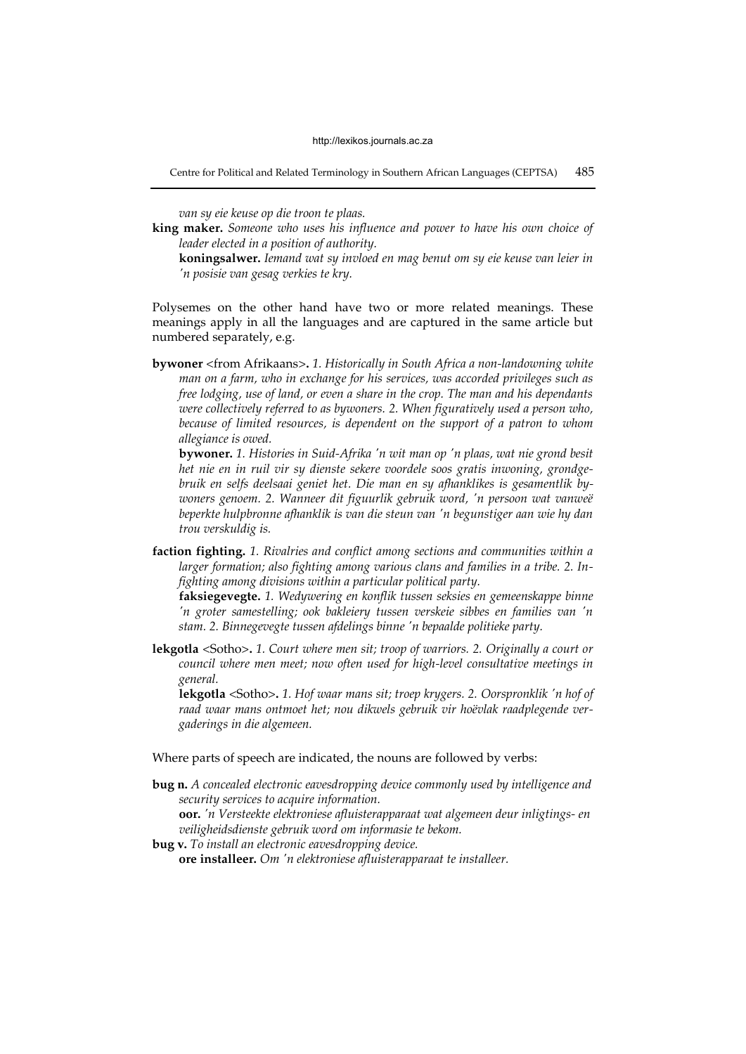Centre for Political and Related Terminology in Southern African Languages (CEPTSA) 485

*van sy eie keuse op die troon te plaas.* 

**king maker.** *Someone who uses his influence and power to have his own choice of leader elected in a position of authority.* 

Polysemes on the other hand have two or more related meanings. These meanings apply in all the languages and are captured in the same article but numbered separately, e.g.

**bywoner** <from Afrikaans>**.** *1. Historically in South Africa a non-landowning white man on a farm, who in exchange for his services, was accorded privileges such as free lodging, use of land, or even a share in the crop. The man and his dependants were collectively referred to as bywoners. 2. When figuratively used a person who, because of limited resources, is dependent on the support of a patron to whom allegiance is owed.* 

**bywoner.** *1. Histories in Suid-Afrika 'n wit man op 'n plaas, wat nie grond besit het nie en in ruil vir sy dienste sekere voordele soos gratis inwoning, grondgebruik en selfs deelsaai geniet het. Die man en sy afhanklikes is gesamentlik bywoners genoem. 2. Wanneer dit figuurlik gebruik word, 'n persoon wat vanweë beperkte hulpbronne afhanklik is van die steun van 'n begunstiger aan wie hy dan trou verskuldig is.* 

**faction fighting.** *1. Rivalries and conflict among sections and communities within a larger formation; also fighting among various clans and families in a tribe. 2. Infighting among divisions within a particular political party.* 

**faksiegevegte.** *1. Wedywering en konflik tussen seksies en gemeenskappe binne 'n groter samestelling; ook bakleiery tussen verskeie sibbes en families van 'n stam. 2. Binnegevegte tussen afdelings binne 'n bepaalde politieke party.* 

**lekgotla** <Sotho>**.** *1. Court where men sit; troop of warriors. 2. Originally a court or council where men meet; now often used for high-level consultative meetings in general.* 

**lekgotla** <Sotho>**.** *1. Hof waar mans sit; troep krygers. 2. Oorspronklik 'n hof of raad waar mans ontmoet het; nou dikwels gebruik vir hoëvlak raadplegende vergaderings in die algemeen.* 

Where parts of speech are indicated, the nouns are followed by verbs:

**bug n.** *A concealed electronic eavesdropping device commonly used by intelligence and security services to acquire information.*

**oor.** *'n Versteekte elektroniese afluisterapparaat wat algemeen deur inligtings- en veiligheidsdienste gebruik word om informasie te bekom.*

**bug v.** *To install an electronic eavesdropping device.* 

**ore installeer.** *Om 'n elektroniese afluisterapparaat te installeer.* 

**koningsalwer.** *Iemand wat sy invloed en mag benut om sy eie keuse van leier in 'n posisie van gesag verkies te kry.*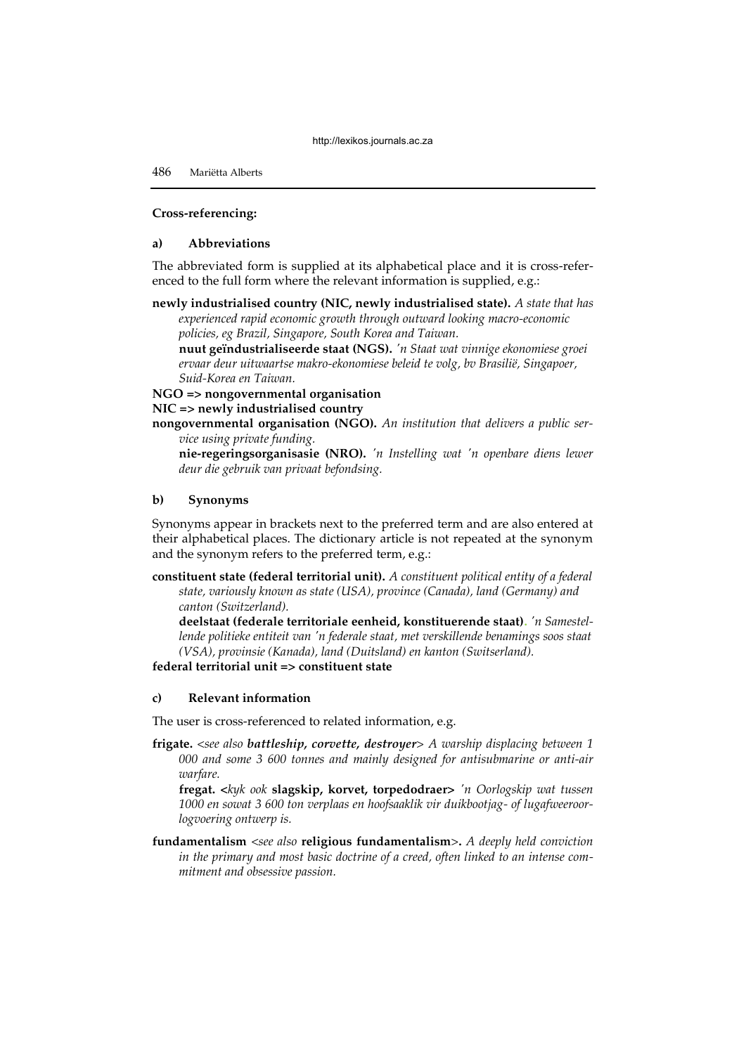#### **Cross-referencing:**

# **a) Abbreviations**

The abbreviated form is supplied at its alphabetical place and it is cross-referenced to the full form where the relevant information is supplied, e.g.:

**newly industrialised country (NIC, newly industrialised state).** *A state that has experienced rapid economic growth through outward looking macro-economic* 

*policies, eg Brazil, Singapore, South Korea and Taiwan.*  **nuut geïndustrialiseerde staat (NGS).** *'n Staat wat vinnige ekonomiese groei ervaar deur uitwaartse makro-ekonomiese beleid te volg, bv Brasilië, Singapoer, Suid-Korea en Taiwan.*

**NGO => nongovernmental organisation** 

#### **NIC => newly industrialised country**

**nongovernmental organisation (NGO).** *An institution that delivers a public service using private funding.* 

**nie-regeringsorganisasie (NRO).** *'n Instelling wat 'n openbare diens lewer deur die gebruik van privaat befondsing.*

#### **b) Synonyms**

Synonyms appear in brackets next to the preferred term and are also entered at their alphabetical places. The dictionary article is not repeated at the synonym and the synonym refers to the preferred term, e.g.:

**constituent state (federal territorial unit).** *A constituent political entity of a federal state, variously known as state (USA), province (Canada), land (Germany) and canton (Switzerland).* 

**deelstaat (federale territoriale eenheid, konstituerende staat).** *'n Samestellende politieke entiteit van 'n federale staat, met verskillende benamings soos staat (VSA), provinsie (Kanada), land (Duitsland) en kanton (Switserland).*

**federal territorial unit => constituent state** 

# **c) Relevant information**

The user is cross-referenced to related information, e.g.

**frigate.** *<see also battleship, corvette, destroyer> A warship displacing between 1 000 and some 3 600 tonnes and mainly designed for antisubmarine or anti-air warfare.* 

**fregat. <***kyk ook* **slagskip, korvet, torpedodraer>** *'n Oorlogskip wat tussen 1000 en sowat 3 600 ton verplaas en hoofsaaklik vir duikbootjag- of lugafweeroorlogvoering ontwerp is.* 

**fundamentalism** <*see also* **religious fundamentalism**>**.** *A deeply held conviction in the primary and most basic doctrine of a creed, often linked to an intense commitment and obsessive passion.*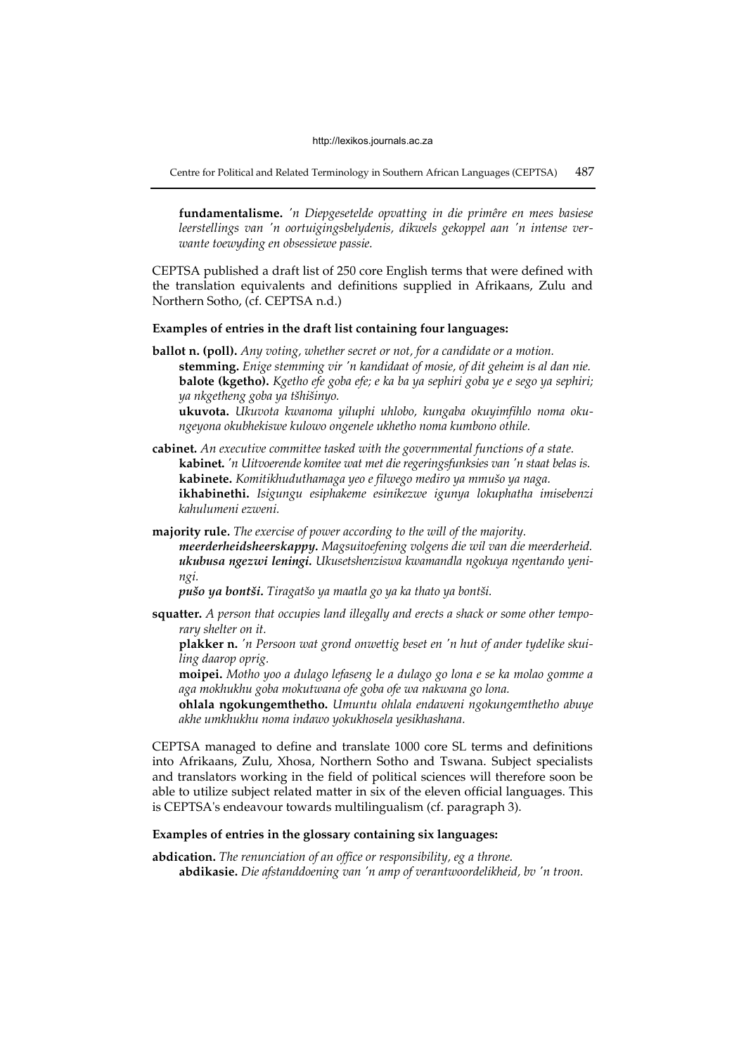Centre for Political and Related Terminology in Southern African Languages (CEPTSA) 487

**fundamentalisme.** *'n Diepgesetelde opvatting in die primêre en mees basiese leerstellings van 'n oortuigingsbelydenis, dikwels gekoppel aan 'n intense verwante toewyding en obsessiewe passie.*

CEPTSA published a draft list of 250 core English terms that were defined with the translation equivalents and definitions supplied in Afrikaans, Zulu and Northern Sotho, (cf. CEPTSA n.d.)

#### **Examples of entries in the draft list containing four languages:**

**ballot n. (poll).** *Any voting, whether secret or not, for a candidate or a motion.*  **stemming.** *Enige stemming vir 'n kandidaat of mosie, of dit geheim is al dan nie.*  **balote (kgetho).** *Kgetho efe goba efe; e ka ba ya sephiri goba ye e sego ya sephiri; ya nkgetheng goba ya tšhišinyo.*

**ukuvota.** *Ukuvota kwanoma yiluphi uhlobo, kungaba okuyimfihlo noma okungeyona okubhekiswe kulowo ongenele ukhetho noma kumbono othile.* 

- **cabinet.** *An executive committee tasked with the governmental functions of a state.*  **kabinet.** *'n Uitvoerende komitee wat met die regeringsfunksies van 'n staat belas is.*  **kabinete.** *Komitikhuduthamaga yeo e filwego mediro ya mmušo ya naga.* **ikhabinethi.** *Isigungu esiphakeme esinikezwe igunya lokuphatha imisebenzi kahulumeni ezweni.*
- **majority rule***. The exercise of power according to the will of the majority. meerderheidsheerskappy. Magsuitoefening volgens die wil van die meerderheid. ukubusa ngezwi leningi. Ukusetshenziswa kwamandla ngokuya ngentando yeningi.*

*pušo ya bontši. Tiragatšo ya maatla go ya ka thato ya bontši.* 

**squatter.** *A person that occupies land illegally and erects a shack or some other temporary shelter on it.* 

**plakker n.** *'n Persoon wat grond onwettig beset en 'n hut of ander tydelike skuiling daarop oprig.* 

**moipei.** *Motho yoo a dulago lefaseng le a dulago go lona e se ka molao gomme a aga mokhukhu goba mokutwana ofe goba ofe wa nakwana go lona.* 

**ohlala ngokungemthetho.** *Umuntu ohlala endaweni ngokungemthetho abuye akhe umkhukhu noma indawo yokukhosela yesikhashana.*

CEPTSA managed to define and translate 1000 core SL terms and definitions into Afrikaans, Zulu, Xhosa, Northern Sotho and Tswana. Subject specialists and translators working in the field of political sciences will therefore soon be able to utilize subject related matter in six of the eleven official languages. This is CEPTSA's endeavour towards multilingualism (cf. paragraph 3).

# **Examples of entries in the glossary containing six languages:**

**abdication.** *The renunciation of an office or responsibility, eg a throne.*  **abdikasie.** *Die afstanddoening van 'n amp of verantwoordelikheid, bv 'n troon.*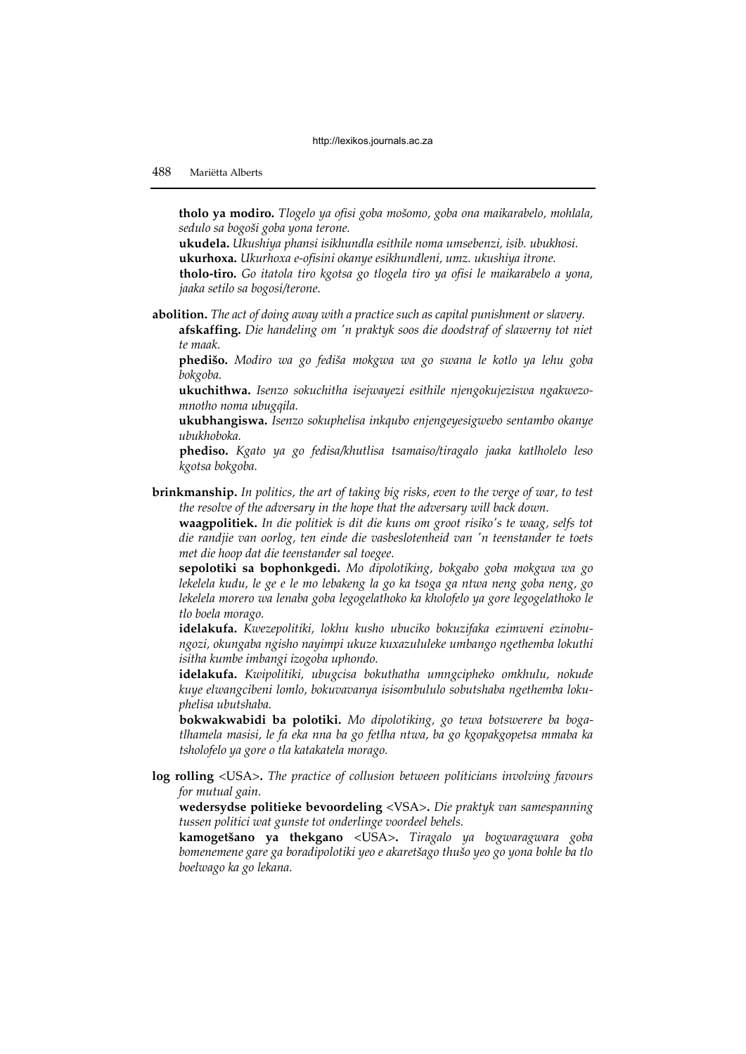**tholo ya modiro.** *Tlogelo ya ofisi goba mošomo, goba ona maikarabelo, mohlala, sedulo sa bogoši goba yona terone.*

**ukudela.** *Ukushiya phansi isikhundla esithile noma umsebenzi, isib. ubukhosi.*  **ukurhoxa.** *Ukurhoxa e-ofisini okanye esikhundleni, umz. ukushiya itrone.* 

**tholo-tiro.** *Go itatola tiro kgotsa go tlogela tiro ya ofisi le maikarabelo a yona, jaaka setilo sa bogosi/terone.*

**abolition.** *The act of doing away with a practice such as capital punishment or slavery.*  **afskaffing.** *Die handeling om 'n praktyk soos die doodstraf of slawerny tot niet* 

*te maak.*  **phedišo.** *Modiro wa go fediša mokgwa wa go swana le kotlo ya lehu goba bokgoba.* 

**ukuchithwa.** *Isenzo sokuchitha isejwayezi esithile njengokujeziswa ngakwezomnotho noma ubugqila.* 

**ukubhangiswa.** *Isenzo sokuphelisa inkqubo enjengeyesigwebo sentambo okanye ubukhoboka.* 

**phediso.** *Kgato ya go fedisa/khutlisa tsamaiso/tiragalo jaaka katlholelo leso kgotsa bokgoba.* 

**brinkmanship.** *In politics, the art of taking big risks, even to the verge of war, to test the resolve of the adversary in the hope that the adversary will back down.* 

**waagpolitiek.** *In die politiek is dit die kuns om groot risiko's te waag, selfs tot die randjie van oorlog, ten einde die vasbeslotenheid van 'n teenstander te toets met die hoop dat die teenstander sal toegee.* 

**sepolotiki sa bophonkgedi.** *Mo dipolotiking, bokgabo goba mokgwa wa go lekelela kudu, le ge e le mo lebakeng la go ka tsoga ga ntwa neng goba neng, go lekelela morero wa lenaba goba legogelathoko ka kholofelo ya gore legogelathoko le tlo boela morago.* 

**idelakufa.** *Kwezepolitiki, lokhu kusho ubuciko bokuzifaka ezimweni ezinobungozi, okungaba ngisho nayimpi ukuze kuxazululeke umbango ngethemba lokuthi isitha kumbe imbangi izogoba uphondo.* 

**idelakufa.** *Kwipolitiki, ubugcisa bokuthatha umngcipheko omkhulu, nokude kuye elwangcibeni lomlo, bokuvavanya isisombululo sobutshaba ngethemba lokuphelisa ubutshaba.* 

**bokwakwabidi ba polotiki.** *Mo dipolotiking, go tewa botswerere ba bogatlhamela masisi, le fa eka nna ba go fetlha ntwa, ba go kgopakgopetsa mmaba ka tsholofelo ya gore o tla katakatela morago.*

**log rolling** <USA>**.** *The practice of collusion between politicians involving favours for mutual gain.* 

**wedersydse politieke bevoordeling** <VSA>**.** *Die praktyk van samespanning tussen politici wat gunste tot onderlinge voordeel behels.* 

**kamogetšano ya thekgano** <USA>**.** *Tiragalo ya bogwaragwara goba bomenemene gare ga boradipolotiki yeo e akaretšago thušo yeo go yona bohle ba tlo boelwago ka go lekana.*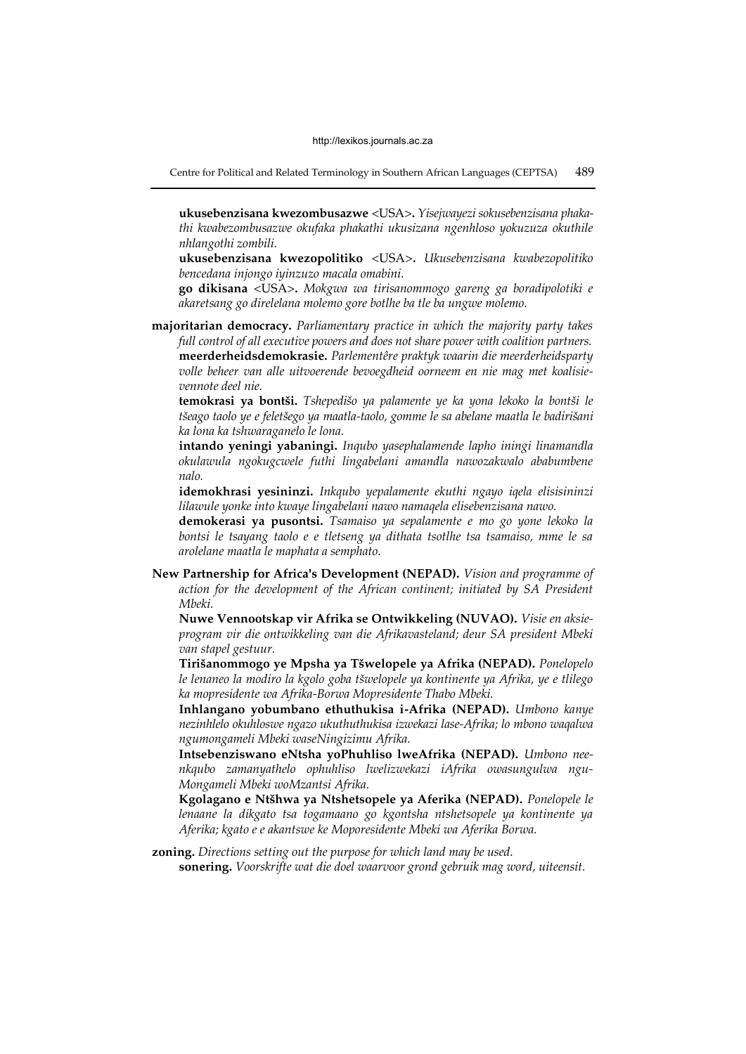Centre for Political and Related Terminology in Southern African Languages (CEPTSA) 489

**ukusebenzisana kwezombusazwe** <USA>**.** *Yisejwayezi sokusebenzisana phakathi kwabezombusazwe okufaka phakathi ukusizana ngenhloso yokuzuza okuthile nhlangothi zombili.* 

**ukusebenzisana kwezopolitiko** <USA>**.** *Ukusebenzisana kwabezopolitiko bencedana injongo iyinzuzo macala omabini.*

**go dikisana** <USA>**.** *Mokgwa wa tirisanommogo gareng ga boradipolotiki e akaretsang go direlelana molemo gore botlhe ba tle ba ungwe molemo.* 

**majoritarian democracy.** *Parliamentary practice in which the majority party takes full control of all executive powers and does not share power with coalition partners.*  **meerderheidsdemokrasie.** *Parlementêre praktyk waarin die meerderheidsparty volle beheer van alle uitvoerende bevoegdheid oorneem en nie mag met koalisievennote deel nie.* 

**temokrasi ya bontši.** *Tshepedišo ya palamente ye ka yona lekoko la bontši le tšeago taolo ye e feletšego ya maatla-taolo, gomme le sa abelane maatla le badirišani ka lona ka tshwaraganelo le lona.* 

**intando yeningi yabaningi.** *Inqubo yasephalamende lapho iningi linamandla okulawula ngokugcwele futhi lingabelani amandla nawozakwalo ababumbene nalo.* 

**idemokhrasi yesininzi.** *Inkqubo yepalamente ekuthi ngayo iqela elisisininzi lilawule yonke into kwaye lingabelani nawo namaqela elisebenzisana nawo.* 

**demokerasi ya pusontsi.** *Tsamaiso ya sepalamente e mo go yone lekoko la bontsi le tsayang taolo e e tletseng ya dithata tsotlhe tsa tsamaiso, mme le sa arolelane maatla le maphata a semphato.* 

**New Partnership for Africa's Development (NEPAD).** *Vision and programme of action for the development of the African continent; initiated by SA President Mbeki.* 

**Nuwe Vennootskap vir Afrika se Ontwikkeling (NUVAO).** *Visie en aksieprogram vir die ontwikkeling van die Afrikavasteland; deur SA president Mbeki van stapel gestuur.* 

**Tirišanommogo ye Mpsha ya Tšwelopele ya Afrika (NEPAD).** *Ponelopelo le lenaneo la modiro la kgolo goba tšwelopele ya kontinente ya Afrika, ye e tlilego ka mopresidente wa Afrika-Borwa Mopresidente Thabo Mbeki.* 

**Inhlangano yobumbano ethuthukisa i-Afrika (NEPAD).** *Umbono kanye nezinhlelo okuhloswe ngazo ukuthuthukisa izwekazi lase-Afrika; lo mbono waqalwa ngumongameli Mbeki waseNingizimu Afrika.* 

**Intsebenziswano eNtsha yoPhuhliso lweAfrika (NEPAD).** *Umbono neenkqubo zamanyathelo ophuhliso lwelizwekazi iAfrika owasungulwa ngu-Mongameli Mbeki woMzantsi Afrika.* 

**Kgolagano e Ntšhwa ya Ntshetsopele ya Aferika (NEPAD).** *Ponelopele le lenaane la dikgato tsa togamaano go kgontsha ntshetsopele ya kontinente ya Aferika; kgato e e akantswe ke Moporesidente Mbeki wa Aferika Borwa.* 

**zoning.** *Directions setting out the purpose for which land may be used.*  **sonering.** *Voorskrifte wat die doel waarvoor grond gebruik mag word, uiteensit.*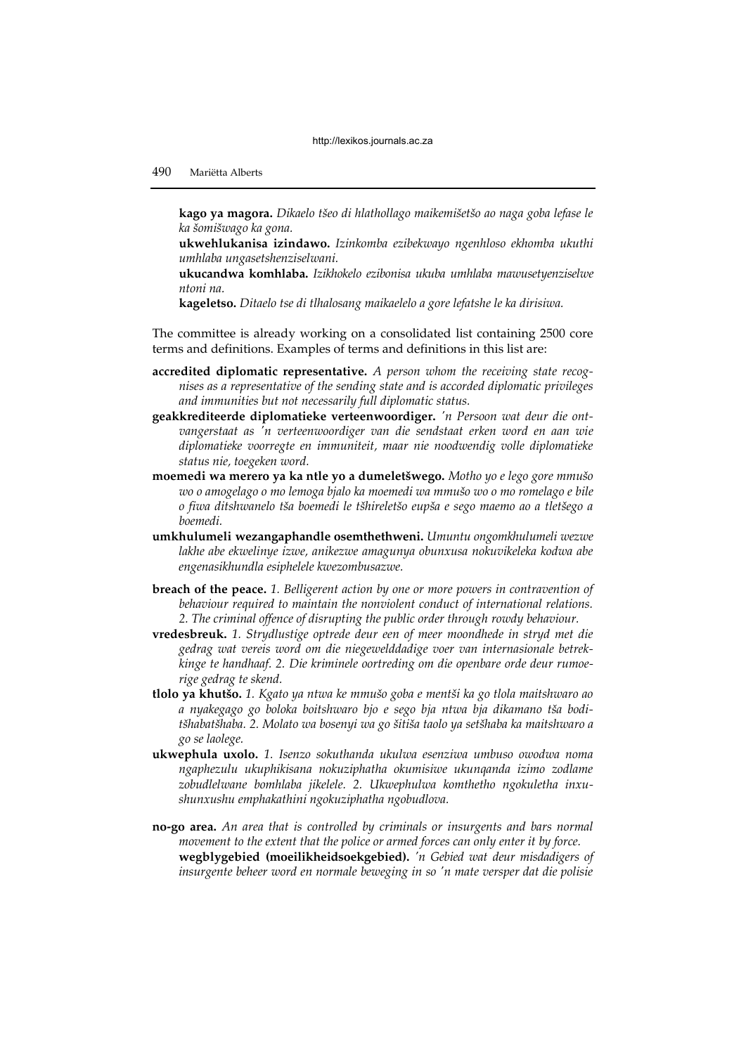**kago ya magora.** *Dikaelo tšeo di hlathollago maikemišetšo ao naga goba lefase le ka šomišwago ka gona.*

**ukwehlukanisa izindawo.** *Izinkomba ezibekwayo ngenhloso ekhomba ukuthi umhlaba ungasetshenziselwani.* 

**ukucandwa komhlaba.** *Izikhokelo ezibonisa ukuba umhlaba mawusetyenziselwe ntoni na.* 

**kageletso.** *Ditaelo tse di tlhalosang maikaelelo a gore lefatshe le ka dirisiwa.*

The committee is already working on a consolidated list containing 2500 core terms and definitions. Examples of terms and definitions in this list are:

- **accredited diplomatic representative.** *A person whom the receiving state recognises as a representative of the sending state and is accorded diplomatic privileges and immunities but not necessarily full diplomatic status.*
- **geakkrediteerde diplomatieke verteenwoordiger.** *'n Persoon wat deur die ontvangerstaat as 'n verteenwoordiger van die sendstaat erken word en aan wie diplomatieke voorregte en immuniteit, maar nie noodwendig volle diplomatieke status nie, toegeken word.*
- **moemedi wa merero ya ka ntle yo a dumeletšwego.** *Motho yo e lego gore mmušo wo o amogelago o mo lemoga bjalo ka moemedi wa mmušo wo o mo romelago e bile o fiwa ditshwanelo tša boemedi le tšhireletšo eupša e sego maemo ao a tletšego a boemedi.*
- **umkhulumeli wezangaphandle osemthethweni.** *Umuntu ongomkhulumeli wezwe lakhe abe ekwelinye izwe, anikezwe amagunya obunxusa nokuvikeleka kodwa abe engenasikhundla esiphelele kwezombusazwe.*
- **breach of the peace.** *1. Belligerent action by one or more powers in contravention of behaviour required to maintain the nonviolent conduct of international relations. 2. The criminal offence of disrupting the public order through rowdy behaviour.*
- **vredesbreuk.** *1. Strydlustige optrede deur een of meer moondhede in stryd met die gedrag wat vereis word om die niegewelddadige voer van internasionale betrekkinge te handhaaf. 2. Die kriminele oortreding om die openbare orde deur rumoerige gedrag te skend.*
- **tlolo ya khutšo.** *1. Kgato ya ntwa ke mmušo goba e mentši ka go tlola maitshwaro ao a nyakegago go boloka boitshwaro bjo e sego bja ntwa bja dikamano tša boditšhabatšhaba. 2. Molato wa bosenyi wa go šitiša taolo ya setšhaba ka maitshwaro a go se laolege.*
- **ukwephula uxolo.** *1. Isenzo sokuthanda ukulwa esenziwa umbuso owodwa noma ngaphezulu ukuphikisana nokuziphatha okumisiwe ukunqanda izimo zodlame zobudlelwane bomhlaba jikelele. 2. Ukwephulwa komthetho ngokuletha inxushunxushu emphakathini ngokuziphatha ngobudlova.*
- **no-go area.** *An area that is controlled by criminals or insurgents and bars normal movement to the extent that the police or armed forces can only enter it by force.*  **wegblygebied (moeilikheidsoekgebied).** *'n Gebied wat deur misdadigers of insurgente beheer word en normale beweging in so 'n mate versper dat die polisie*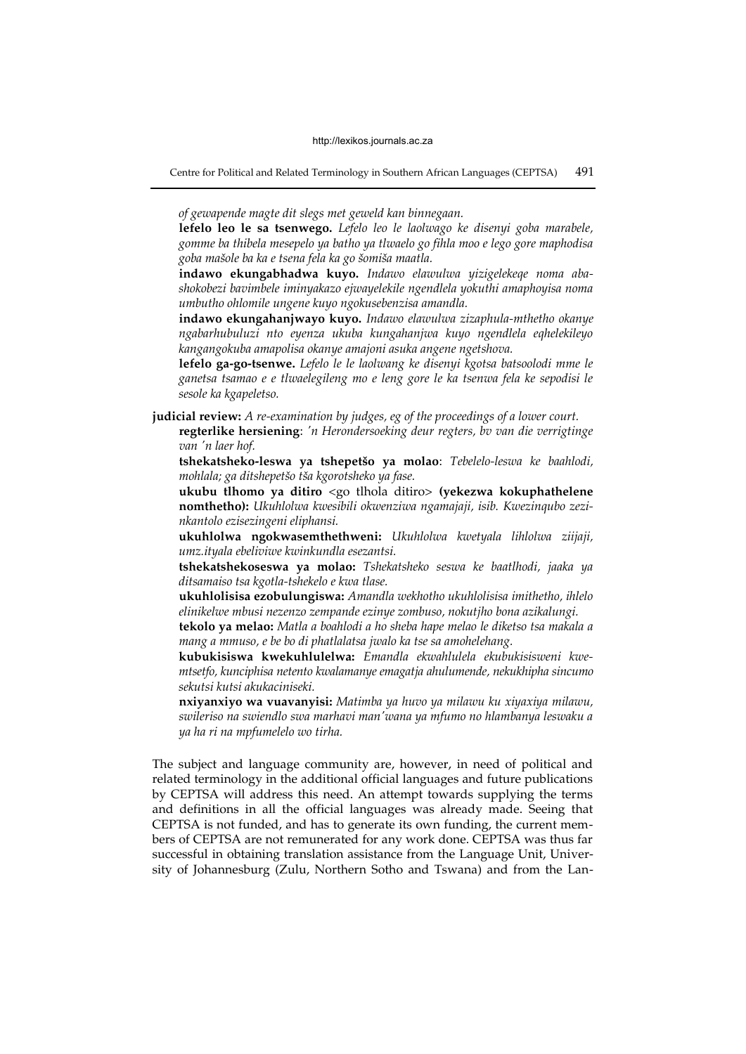Centre for Political and Related Terminology in Southern African Languages (CEPTSA) 491

*of gewapende magte dit slegs met geweld kan binnegaan.* 

**lefelo leo le sa tsenwego.** *Lefelo leo le laolwago ke disenyi goba marabele, gomme ba thibela mesepelo ya batho ya tlwaelo go fihla moo e lego gore maphodisa goba mašole ba ka e tsena fela ka go šomiša maatla.*

**indawo ekungabhadwa kuyo.** *Indawo elawulwa yizigelekeqe noma abashokobezi bavimbele iminyakazo ejwayelekile ngendlela yokuthi amaphoyisa noma umbutho ohlomile ungene kuyo ngokusebenzisa amandla.* 

**indawo ekungahanjwayo kuyo.** *Indawo elawulwa zizaphula-mthetho okanye ngabarhubuluzi nto eyenza ukuba kungahanjwa kuyo ngendlela eqhelekileyo kangangokuba amapolisa okanye amajoni asuka angene ngetshova.* 

**lefelo ga-go-tsenwe.** *Lefelo le le laolwang ke disenyi kgotsa batsoolodi mme le ganetsa tsamao e e tlwaelegileng mo e leng gore le ka tsenwa fela ke sepodisi le sesole ka kgapeletso.* 

**judicial review:** *A re-examination by judges, eg of the proceedings of a lower court.* 

**regterlike hersiening**: *'n Herondersoeking deur regters, bv van die verrigtinge van 'n laer hof.*

**tshekatsheko-leswa ya tshepetšo ya molao**: *Tebelelo-leswa ke baahlodi, mohlala; ga ditshepetšo tša kgorotsheko ya fase.*

**ukubu tlhomo ya ditiro** <go tlhola ditiro> **(yekezwa kokuphathelene nomthetho):** *Ukuhlolwa kwesibili okwenziwa ngamajaji, isib. Kwezinqubo zezinkantolo ezisezingeni eliphansi.* 

**ukuhlolwa ngokwasemthethweni:** *Ukuhlolwa kwetyala lihlolwa ziijaji, umz.ityala ebeliviwe kwinkundla esezantsi.* 

**tshekatshekoseswa ya molao:** *Tshekatsheko seswa ke baatlhodi, jaaka ya ditsamaiso tsa kgotla-tshekelo e kwa tlase.* 

**ukuhlolisisa ezobulungiswa:** *Amandla wekhotho ukuhlolisisa imithetho, ihlelo elinikelwe mbusi nezenzo zempande ezinye zombuso, nokutjho bona azikalungi.* 

**tekolo ya melao:** *Matla a boahlodi a ho sheba hape melao le diketso tsa makala a mang a mmuso, e be bo di phatlalatsa jwalo ka tse sa amohelehang.* 

**kubukisiswa kwekuhlulelwa:** *Emandla ekwahlulela ekubukisisweni kwemtsetfo, kunciphisa netento kwalamanye emagatja ahulumende, nekukhipha sincumo sekutsi kutsi akukaciniseki.* 

**nxiyanxiyo wa vuavanyisi:** *Matimba ya huvo ya milawu ku xiyaxiya milawu, swileriso na swiendlo swa marhavi man'wana ya mfumo no hlambanya leswaku a ya ha ri na mpfumelelo wo tirha.* 

The subject and language community are, however, in need of political and related terminology in the additional official languages and future publications by CEPTSA will address this need. An attempt towards supplying the terms and definitions in all the official languages was already made. Seeing that CEPTSA is not funded, and has to generate its own funding, the current members of CEPTSA are not remunerated for any work done. CEPTSA was thus far successful in obtaining translation assistance from the Language Unit, University of Johannesburg (Zulu, Northern Sotho and Tswana) and from the Lan-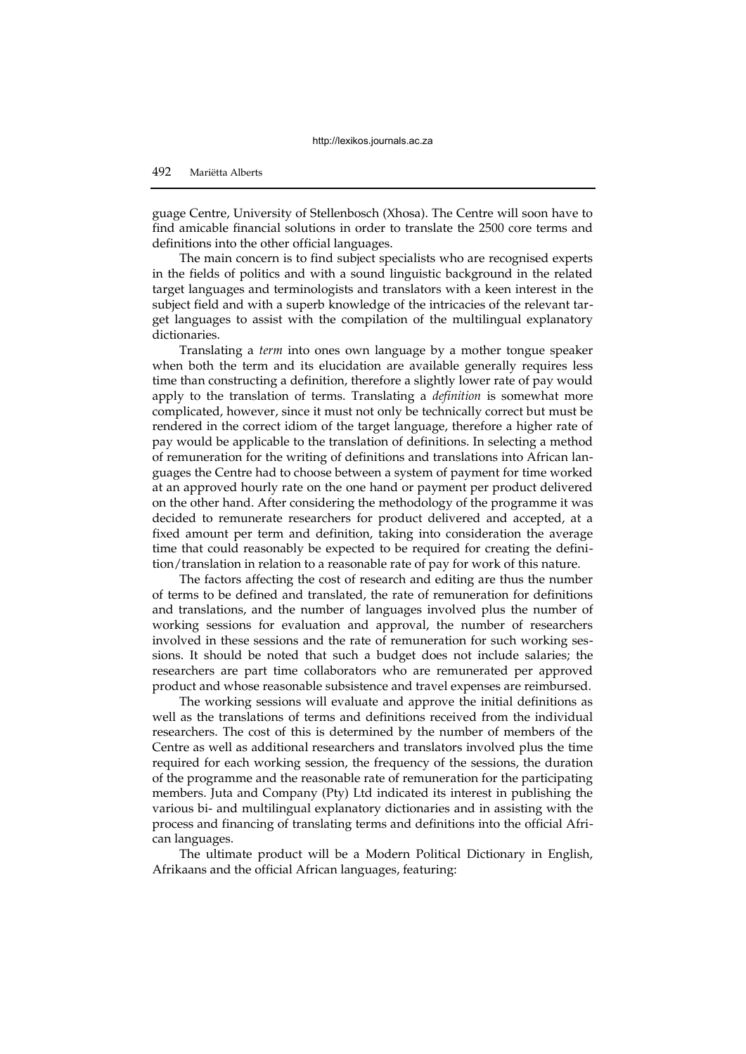guage Centre, University of Stellenbosch (Xhosa). The Centre will soon have to find amicable financial solutions in order to translate the 2500 core terms and definitions into the other official languages.

The main concern is to find subject specialists who are recognised experts in the fields of politics and with a sound linguistic background in the related target languages and terminologists and translators with a keen interest in the subject field and with a superb knowledge of the intricacies of the relevant target languages to assist with the compilation of the multilingual explanatory dictionaries.

Translating a *term* into ones own language by a mother tongue speaker when both the term and its elucidation are available generally requires less time than constructing a definition, therefore a slightly lower rate of pay would apply to the translation of terms. Translating a *definition* is somewhat more complicated, however, since it must not only be technically correct but must be rendered in the correct idiom of the target language, therefore a higher rate of pay would be applicable to the translation of definitions. In selecting a method of remuneration for the writing of definitions and translations into African languages the Centre had to choose between a system of payment for time worked at an approved hourly rate on the one hand or payment per product delivered on the other hand. After considering the methodology of the programme it was decided to remunerate researchers for product delivered and accepted, at a fixed amount per term and definition, taking into consideration the average time that could reasonably be expected to be required for creating the definition/translation in relation to a reasonable rate of pay for work of this nature.

The factors affecting the cost of research and editing are thus the number of terms to be defined and translated, the rate of remuneration for definitions and translations, and the number of languages involved plus the number of working sessions for evaluation and approval, the number of researchers involved in these sessions and the rate of remuneration for such working sessions. It should be noted that such a budget does not include salaries; the researchers are part time collaborators who are remunerated per approved product and whose reasonable subsistence and travel expenses are reimbursed.

The working sessions will evaluate and approve the initial definitions as well as the translations of terms and definitions received from the individual researchers. The cost of this is determined by the number of members of the Centre as well as additional researchers and translators involved plus the time required for each working session, the frequency of the sessions, the duration of the programme and the reasonable rate of remuneration for the participating members. Juta and Company (Pty) Ltd indicated its interest in publishing the various bi- and multilingual explanatory dictionaries and in assisting with the process and financing of translating terms and definitions into the official African languages.

The ultimate product will be a Modern Political Dictionary in English, Afrikaans and the official African languages, featuring: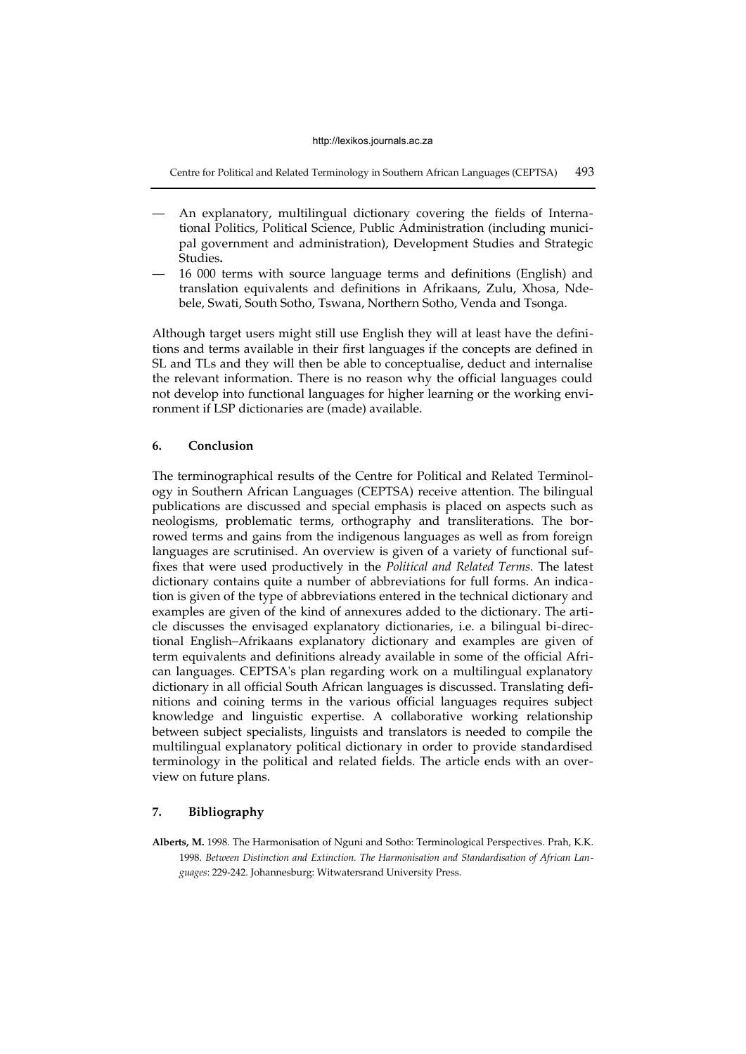Centre for Political and Related Terminology in Southern African Languages (CEPTSA) 493

- An explanatory, multilingual dictionary covering the fields of International Politics, Political Science, Public Administration (including municipal government and administration), Development Studies and Strategic Studies**.**
- 16 000 terms with source language terms and definitions (English) and translation equivalents and definitions in Afrikaans, Zulu, Xhosa, Ndebele, Swati, South Sotho, Tswana, Northern Sotho, Venda and Tsonga.

Although target users might still use English they will at least have the definitions and terms available in their first languages if the concepts are defined in SL and TLs and they will then be able to conceptualise, deduct and internalise the relevant information. There is no reason why the official languages could not develop into functional languages for higher learning or the working environment if LSP dictionaries are (made) available.

#### **6. Conclusion**

The terminographical results of the Centre for Political and Related Terminology in Southern African Languages (CEPTSA) receive attention. The bilingual publications are discussed and special emphasis is placed on aspects such as neologisms, problematic terms, orthography and transliterations. The borrowed terms and gains from the indigenous languages as well as from foreign languages are scrutinised. An overview is given of a variety of functional suffixes that were used productively in the *Political and Related Terms.* The latest dictionary contains quite a number of abbreviations for full forms. An indication is given of the type of abbreviations entered in the technical dictionary and examples are given of the kind of annexures added to the dictionary. The article discusses the envisaged explanatory dictionaries, i.e. a bilingual bi-directional English–Afrikaans explanatory dictionary and examples are given of term equivalents and definitions already available in some of the official African languages. CEPTSA's plan regarding work on a multilingual explanatory dictionary in all official South African languages is discussed. Translating definitions and coining terms in the various official languages requires subject knowledge and linguistic expertise. A collaborative working relationship between subject specialists, linguists and translators is needed to compile the multilingual explanatory political dictionary in order to provide standardised terminology in the political and related fields. The article ends with an overview on future plans.

#### **7. Bibliography**

**Alberts, M.** 1998. The Harmonisation of Nguni and Sotho: Terminological Perspectives. Prah, K.K. 1998. *Between Distinction and Extinction. The Harmonisation and Standardisation of African Languages*: 229-242. Johannesburg: Witwatersrand University Press.